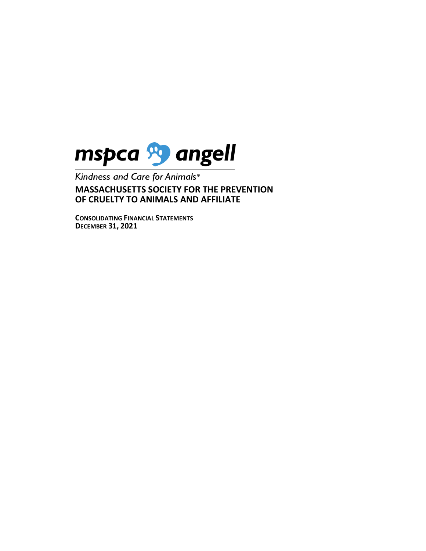

Kindness and Care for Animals®

**MASSACHUSETTS SOCIETY FOR THE PREVENTION OF CRUELTY TO ANIMALS AND AFFILIATE**

**CONSOLIDATING FINANCIAL STATEMENTS DECEMBER 31, 2021**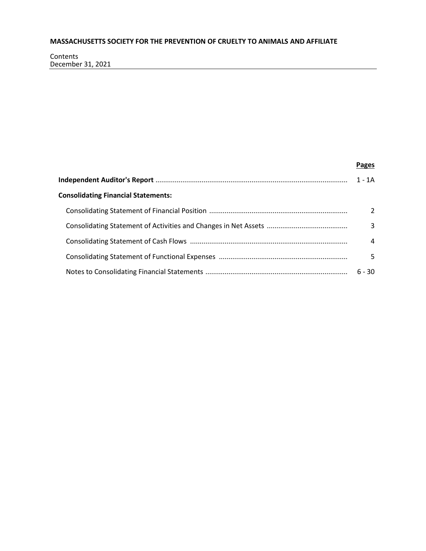| Contents          |  |
|-------------------|--|
| December 31, 2021 |  |

|                                            | Pages         |
|--------------------------------------------|---------------|
|                                            | $1 - 1A$      |
| <b>Consolidating Financial Statements:</b> |               |
|                                            | $\mathcal{L}$ |
|                                            | 3             |
|                                            | 4             |
|                                            | 5             |
|                                            | $6 - 30$      |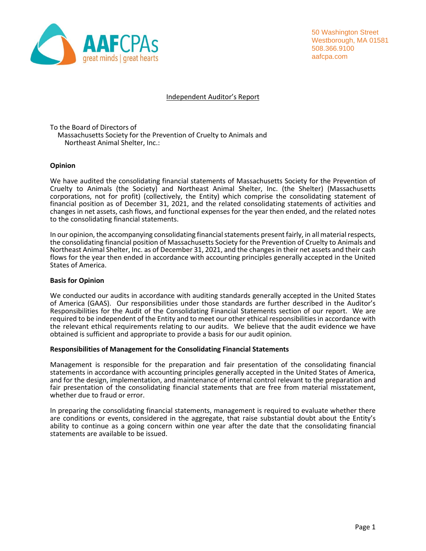

50 Washington Street Westborough, MA 01581 508.366.9100 aafcpa.com

## Independent Auditor's Report

To the Board of Directors of Massachusetts Society for the Prevention of Cruelty to Animals and Northeast Animal Shelter, Inc.:

## **Opinion**

We have audited the consolidating financial statements of Massachusetts Society for the Prevention of Cruelty to Animals (the Society) and Northeast Animal Shelter, Inc. (the Shelter) (Massachusetts corporations, not for profit) (collectively, the Entity) which comprise the consolidating statement of financial position as of December 31, 2021, and the related consolidating statements of activities and changes in net assets, cash flows, and functional expenses for the year then ended, and the related notes to the consolidating financial statements.

In our opinion, the accompanying consolidating financial statements present fairly, in all material respects, the consolidating financial position of Massachusetts Society for the Prevention of Cruelty to Animals and Northeast Animal Shelter, Inc. as of December 31, 2021, and the changes in their net assets and their cash flows for the year then ended in accordance with accounting principles generally accepted in the United States of America.

#### **Basis for Opinion**

We conducted our audits in accordance with auditing standards generally accepted in the United States of America (GAAS). Our responsibilities under those standards are further described in the Auditor's Responsibilities for the Audit of the Consolidating Financial Statements section of our report. We are required to be independent of the Entity and to meet our other ethical responsibilities in accordance with the relevant ethical requirements relating to our audits. We believe that the audit evidence we have obtained is sufficient and appropriate to provide a basis for our audit opinion.

#### **Responsibilities of Management for the Consolidating Financial Statements**

Management is responsible for the preparation and fair presentation of the consolidating financial statements in accordance with accounting principles generally accepted in the United States of America, and for the design, implementation, and maintenance of internal control relevant to the preparation and fair presentation of the consolidating financial statements that are free from material misstatement, whether due to fraud or error.

In preparing the consolidating financial statements, management is required to evaluate whether there are conditions or events, considered in the aggregate, that raise substantial doubt about the Entity's ability to continue as a going concern within one year after the date that the consolidating financial statements are available to be issued.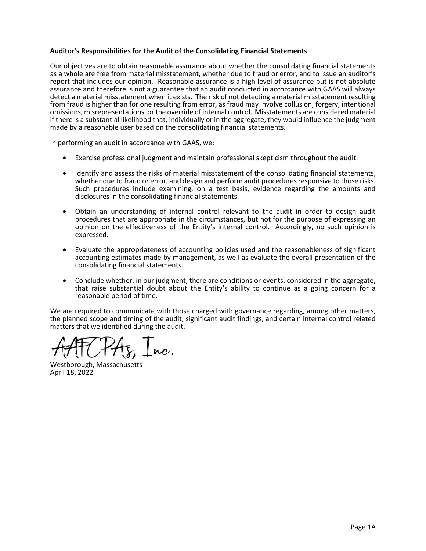# **Auditor's Responsibilities for the Audit of the Consolidating Financial Statements**

Our objectives are to obtain reasonable assurance about whether the consolidating financial statements as a whole are free from material misstatement, whether due to fraud or error, and to issue an auditor's report that includes our opinion. Reasonable assurance is a high level of assurance but is not absolute assurance and therefore is not a guarantee that an audit conducted in accordance with GAAS will always detect a material misstatement when it exists. The risk of not detecting a material misstatement resulting from fraud is higher than for one resulting from error, as fraud may involve collusion, forgery, intentional omissions, misrepresentations, or the override of internal control. Misstatements are considered material if there is a substantial likelihood that, individually or in the aggregate, they would influence the judgment made by a reasonable user based on the consolidating financial statements.

In performing an audit in accordance with GAAS, we:

- Exercise professional judgment and maintain professional skepticism throughout the audit.
- Identify and assess the risks of material misstatement of the consolidating financial statements, whether due to fraud or error, and design and perform audit procedures responsive to those risks. Such procedures include examining, on a test basis, evidence regarding the amounts and disclosures in the consolidating financial statements.
- Obtain an understanding of internal control relevant to the audit in order to design audit procedures that are appropriate in the circumstances, but not for the purpose of expressing an opinion on the effectiveness of the Entity's internal control. Accordingly, no such opinion is expressed.
- Evaluate the appropriateness of accounting policies used and the reasonableness of significant accounting estimates made by management, as well as evaluate the overall presentation of the consolidating financial statements.
- Conclude whether, in our judgment, there are conditions or events, considered in the aggregate, that raise substantial doubt about the Entity's ability to continue as a going concern for a reasonable period of time.

We are required to communicate with those charged with governance regarding, among other matters, the planned scope and timing of the audit, significant audit findings, and certain internal control related matters that we identified during the audit.

Westborough, Massachusetts April 18, 2022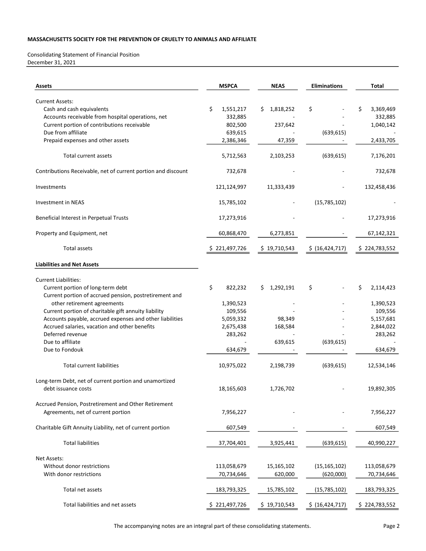Consolidating Statement of Financial Position December 31, 2021

| <b>Assets</b>                                                     | <b>MSPCA</b>    | <b>NEAS</b>      | <b>Eliminations</b> | Total           |
|-------------------------------------------------------------------|-----------------|------------------|---------------------|-----------------|
| <b>Current Assets:</b>                                            |                 |                  |                     |                 |
| Cash and cash equivalents                                         | \$<br>1,551,217 | 1,818,252<br>\$. | \$                  | \$<br>3,369,469 |
| Accounts receivable from hospital operations, net                 | 332,885         |                  |                     | 332,885         |
| Current portion of contributions receivable                       | 802,500         | 237,642          |                     | 1,040,142       |
| Due from affiliate                                                | 639,615         |                  | (639, 615)          |                 |
| Prepaid expenses and other assets                                 | 2,386,346       | 47,359           |                     | 2,433,705       |
|                                                                   |                 |                  |                     |                 |
| Total current assets                                              | 5,712,563       | 2,103,253        | (639, 615)          | 7,176,201       |
| Contributions Receivable, net of current portion and discount     | 732,678         |                  |                     | 732,678         |
| Investments                                                       | 121,124,997     | 11,333,439       |                     | 132,458,436     |
| Investment in NEAS                                                | 15,785,102      |                  | (15, 785, 102)      |                 |
| Beneficial Interest in Perpetual Trusts                           | 17,273,916      |                  |                     | 17,273,916      |
| Property and Equipment, net                                       | 60,868,470      | 6,273,851        |                     | 67,142,321      |
| <b>Total assets</b>                                               | \$221,497,726   | \$19,710,543     | \$ (16, 424, 717)   | \$224,783,552   |
| <b>Liabilities and Net Assets</b>                                 |                 |                  |                     |                 |
|                                                                   |                 |                  |                     |                 |
| <b>Current Liabilities:</b>                                       |                 |                  |                     |                 |
| Current portion of long-term debt                                 | \$<br>822,232   | 1,292,191<br>\$. | \$                  | \$<br>2,114,423 |
| Current portion of accrued pension, postretirement and            |                 |                  |                     |                 |
| other retirement agreements                                       | 1,390,523       |                  |                     | 1,390,523       |
| Current portion of charitable gift annuity liability              | 109,556         |                  |                     | 109,556         |
| Accounts payable, accrued expenses and other liabilities          | 5,059,332       | 98,349           |                     | 5,157,681       |
| Accrued salaries, vacation and other benefits<br>Deferred revenue | 2,675,438       | 168,584          |                     | 2,844,022       |
|                                                                   | 283,262         |                  |                     | 283,262         |
| Due to affiliate                                                  |                 | 639,615          | (639, 615)          |                 |
| Due to Fondouk                                                    | 634,679         |                  |                     | 634,679         |
| <b>Total current liabilities</b>                                  | 10,975,022      | 2,198,739        | (639, 615)          | 12,534,146      |
| Long-term Debt, net of current portion and unamortized            |                 |                  |                     |                 |
| debt issuance costs                                               | 18,165,603      | 1,726,702        |                     | 19,892,305      |
| Accrued Pension, Postretirement and Other Retirement              |                 |                  |                     |                 |
| Agreements, net of current portion                                | 7,956,227       |                  |                     | 7,956,227       |
| Charitable Gift Annuity Liability, net of current portion         | 607,549         |                  |                     | 607,549         |
| <b>Total liabilities</b>                                          | 37,704,401      | 3,925,441        | (639, 615)          | 40,990,227      |
| Net Assets:                                                       |                 |                  |                     |                 |
| Without donor restrictions                                        | 113,058,679     | 15,165,102       | (15, 165, 102)      | 113,058,679     |
| With donor restrictions                                           |                 |                  |                     |                 |
|                                                                   | 70,734,646      | 620,000          | (620,000)           | 70,734,646      |
| Total net assets                                                  | 183,793,325     | 15,785,102       | (15,785,102)        | 183,793,325     |
| Total liabilities and net assets                                  | \$221,497,726   | \$19,710,543     | \$ (16, 424, 717)   | \$224,783,552   |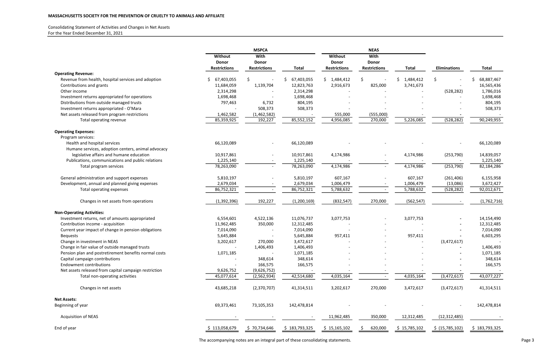# Consolidating Statement of Activities and Changes in Net Assets For the Year Ended December 31, 2021

| With<br>Without<br>With<br>Without<br><b>Donor</b><br><b>Donor</b><br>Donor<br><b>Donor</b><br><b>Restrictions</b><br><b>Restrictions</b><br><b>Restrictions</b><br><b>Restrictions</b><br><b>Total</b><br><b>Total</b><br><b>Eliminations</b><br><b>Total</b><br><b>Operating Revenue:</b><br>68,887,467<br>Revenue from health, hospital services and adoption<br>67,403,055<br>\$<br>67,403,055<br>\$1,484,412<br>\$<br>1,484,412<br>\$<br>S.<br>Contributions and grants<br>11,684,059<br>1,139,704<br>12,823,763<br>2,916,673<br>825,000<br>3,741,673<br>16,565,436<br>Other income<br>(528, 282)<br>1,786,016<br>2,314,298<br>2,314,298<br>Investment returns appropriated for operations<br>1,698,468<br>1,698,468<br>1,698,468<br>Distributions from outside managed trusts<br>797,463<br>6,732<br>804,195<br>804,195<br>Investment returns appropriated - O'Mara<br>508,373<br>508,373<br>508,373<br>Net assets released from program restrictions<br>1,462,582<br>555,000<br>(555,000)<br>(1,462,582)<br>85,552,152<br>85,359,925<br>192,227<br>4,956,085<br>5,226,085<br>(528, 282)<br>90,249,955<br>Total operating revenue<br>270,000<br><b>Operating Expenses:</b><br>Program services:<br>Health and hospital services<br>66,120,089<br>66,120,089<br>66,120,089<br>Humane services, adoption centers, animal advocacy<br>legislative affairs and humane education<br>(253, 790)<br>10,917,861<br>10,917,861<br>4,174,986<br>4,174,986<br>14,839,057<br>Publications, communications and public relations<br>1,225,140<br>1,225,140<br>1,225,140<br>4,174,986<br>4,174,986<br>(253, 790)<br>Total program services<br>78,263,090<br>78,263,090<br>82,184,286<br>General administration and support expenses<br>5,810,197<br>5,810,197<br>607,167<br>607,167<br>(261, 406)<br>6,155,958<br>3,672,427<br>Development, annual and planned giving expenses<br>2,679,034<br>2,679,034<br>1,006,479<br>1,006,479<br>(13,086)<br>86,752,321<br>5,788,632<br>Total operating expenses<br>86,752,321<br>5,788,632<br>(528, 282)<br>92,012,671<br>Changes in net assets from operations<br>(1, 392, 396)<br>192,227<br>(832, 547)<br>(562, 547)<br>(1,762,716)<br>(1,200,169)<br>270,000<br><b>Non-Operating Activities:</b><br>Investment returns, net of amounts appropriated<br>6,554,601<br>4,522,136<br>11,076,737<br>3,077,753<br>3,077,753<br>14,154,490<br>Contribution income - acquisition<br>11,962,485<br>350,000<br>12,312,485<br>12,312,485<br>Current year impact of change in pension obligations<br>7,014,090<br>7,014,090<br>7,014,090<br>5,645,884<br>5,645,884<br>957,411<br>957,411<br>6,603,295<br><b>Bequests</b><br>Change in investment in NEAS<br>3,202,617<br>3,472,617<br>(3,472,617)<br>270,000<br>Change in fair value of outside managed trusts<br>1,406,493<br>1,406,493<br>1,406,493<br>Pension plan and postretirement benefits normal costs<br>1,071,185<br>1,071,185<br>1,071,185<br>348,614<br>Capital campaign contributions<br>348,614<br>348,614<br><b>Endowment contributions</b><br>166,575<br>166,575<br>166,575<br>Net assets released from capital campaign restriction<br>9,626,752<br>(9,626,752)<br>4,035,164<br>43,077,227<br>42,514,680<br>4,035,164<br>(3,472,617)<br>(2,562,934)<br>45,077,614<br>Total non-operating activities<br>43,685,218<br>(2,370,707)<br>3,202,617<br>270,000<br>3,472,617<br>(3,472,617)<br>41,314,511<br>Changes in net assets<br>41,314,511<br><b>Net Assets:</b><br>69,373,461<br>73,105,353<br>142,478,814<br>142,478,814<br>Beginning of year<br>11,962,485<br><b>Acquisition of NEAS</b><br>350,000<br>12,312,485<br>(12, 312, 485)<br>\$113,058,679<br>\$70,734,646<br>\$183,793,325<br>\$15,165,102<br>\$ (15,785,102)<br>\$183,793,325<br>End of year<br>620,000<br>\$15,785,102<br>-Ş | <b>MSPCA</b> |  |  | <b>NEAS</b> |  |  |  |
|-----------------------------------------------------------------------------------------------------------------------------------------------------------------------------------------------------------------------------------------------------------------------------------------------------------------------------------------------------------------------------------------------------------------------------------------------------------------------------------------------------------------------------------------------------------------------------------------------------------------------------------------------------------------------------------------------------------------------------------------------------------------------------------------------------------------------------------------------------------------------------------------------------------------------------------------------------------------------------------------------------------------------------------------------------------------------------------------------------------------------------------------------------------------------------------------------------------------------------------------------------------------------------------------------------------------------------------------------------------------------------------------------------------------------------------------------------------------------------------------------------------------------------------------------------------------------------------------------------------------------------------------------------------------------------------------------------------------------------------------------------------------------------------------------------------------------------------------------------------------------------------------------------------------------------------------------------------------------------------------------------------------------------------------------------------------------------------------------------------------------------------------------------------------------------------------------------------------------------------------------------------------------------------------------------------------------------------------------------------------------------------------------------------------------------------------------------------------------------------------------------------------------------------------------------------------------------------------------------------------------------------------------------------------------------------------------------------------------------------------------------------------------------------------------------------------------------------------------------------------------------------------------------------------------------------------------------------------------------------------------------------------------------------------------------------------------------------------------------------------------------------------------------------------------------------------------------------------------------------------------------------------------------------------------------------------------------------------------------------------------------------------------------------------------------------------------------------------------------------------------------------------------------------------------------------------------------------------------------------------------------------------------------------------------------------------------------------------------------------------------------------------------------------|--------------|--|--|-------------|--|--|--|
|                                                                                                                                                                                                                                                                                                                                                                                                                                                                                                                                                                                                                                                                                                                                                                                                                                                                                                                                                                                                                                                                                                                                                                                                                                                                                                                                                                                                                                                                                                                                                                                                                                                                                                                                                                                                                                                                                                                                                                                                                                                                                                                                                                                                                                                                                                                                                                                                                                                                                                                                                                                                                                                                                                                                                                                                                                                                                                                                                                                                                                                                                                                                                                                                                                                                                                                                                                                                                                                                                                                                                                                                                                                                                                                                                                                   |              |  |  |             |  |  |  |
|                                                                                                                                                                                                                                                                                                                                                                                                                                                                                                                                                                                                                                                                                                                                                                                                                                                                                                                                                                                                                                                                                                                                                                                                                                                                                                                                                                                                                                                                                                                                                                                                                                                                                                                                                                                                                                                                                                                                                                                                                                                                                                                                                                                                                                                                                                                                                                                                                                                                                                                                                                                                                                                                                                                                                                                                                                                                                                                                                                                                                                                                                                                                                                                                                                                                                                                                                                                                                                                                                                                                                                                                                                                                                                                                                                                   |              |  |  |             |  |  |  |
|                                                                                                                                                                                                                                                                                                                                                                                                                                                                                                                                                                                                                                                                                                                                                                                                                                                                                                                                                                                                                                                                                                                                                                                                                                                                                                                                                                                                                                                                                                                                                                                                                                                                                                                                                                                                                                                                                                                                                                                                                                                                                                                                                                                                                                                                                                                                                                                                                                                                                                                                                                                                                                                                                                                                                                                                                                                                                                                                                                                                                                                                                                                                                                                                                                                                                                                                                                                                                                                                                                                                                                                                                                                                                                                                                                                   |              |  |  |             |  |  |  |
|                                                                                                                                                                                                                                                                                                                                                                                                                                                                                                                                                                                                                                                                                                                                                                                                                                                                                                                                                                                                                                                                                                                                                                                                                                                                                                                                                                                                                                                                                                                                                                                                                                                                                                                                                                                                                                                                                                                                                                                                                                                                                                                                                                                                                                                                                                                                                                                                                                                                                                                                                                                                                                                                                                                                                                                                                                                                                                                                                                                                                                                                                                                                                                                                                                                                                                                                                                                                                                                                                                                                                                                                                                                                                                                                                                                   |              |  |  |             |  |  |  |
|                                                                                                                                                                                                                                                                                                                                                                                                                                                                                                                                                                                                                                                                                                                                                                                                                                                                                                                                                                                                                                                                                                                                                                                                                                                                                                                                                                                                                                                                                                                                                                                                                                                                                                                                                                                                                                                                                                                                                                                                                                                                                                                                                                                                                                                                                                                                                                                                                                                                                                                                                                                                                                                                                                                                                                                                                                                                                                                                                                                                                                                                                                                                                                                                                                                                                                                                                                                                                                                                                                                                                                                                                                                                                                                                                                                   |              |  |  |             |  |  |  |
|                                                                                                                                                                                                                                                                                                                                                                                                                                                                                                                                                                                                                                                                                                                                                                                                                                                                                                                                                                                                                                                                                                                                                                                                                                                                                                                                                                                                                                                                                                                                                                                                                                                                                                                                                                                                                                                                                                                                                                                                                                                                                                                                                                                                                                                                                                                                                                                                                                                                                                                                                                                                                                                                                                                                                                                                                                                                                                                                                                                                                                                                                                                                                                                                                                                                                                                                                                                                                                                                                                                                                                                                                                                                                                                                                                                   |              |  |  |             |  |  |  |
|                                                                                                                                                                                                                                                                                                                                                                                                                                                                                                                                                                                                                                                                                                                                                                                                                                                                                                                                                                                                                                                                                                                                                                                                                                                                                                                                                                                                                                                                                                                                                                                                                                                                                                                                                                                                                                                                                                                                                                                                                                                                                                                                                                                                                                                                                                                                                                                                                                                                                                                                                                                                                                                                                                                                                                                                                                                                                                                                                                                                                                                                                                                                                                                                                                                                                                                                                                                                                                                                                                                                                                                                                                                                                                                                                                                   |              |  |  |             |  |  |  |
|                                                                                                                                                                                                                                                                                                                                                                                                                                                                                                                                                                                                                                                                                                                                                                                                                                                                                                                                                                                                                                                                                                                                                                                                                                                                                                                                                                                                                                                                                                                                                                                                                                                                                                                                                                                                                                                                                                                                                                                                                                                                                                                                                                                                                                                                                                                                                                                                                                                                                                                                                                                                                                                                                                                                                                                                                                                                                                                                                                                                                                                                                                                                                                                                                                                                                                                                                                                                                                                                                                                                                                                                                                                                                                                                                                                   |              |  |  |             |  |  |  |
|                                                                                                                                                                                                                                                                                                                                                                                                                                                                                                                                                                                                                                                                                                                                                                                                                                                                                                                                                                                                                                                                                                                                                                                                                                                                                                                                                                                                                                                                                                                                                                                                                                                                                                                                                                                                                                                                                                                                                                                                                                                                                                                                                                                                                                                                                                                                                                                                                                                                                                                                                                                                                                                                                                                                                                                                                                                                                                                                                                                                                                                                                                                                                                                                                                                                                                                                                                                                                                                                                                                                                                                                                                                                                                                                                                                   |              |  |  |             |  |  |  |
|                                                                                                                                                                                                                                                                                                                                                                                                                                                                                                                                                                                                                                                                                                                                                                                                                                                                                                                                                                                                                                                                                                                                                                                                                                                                                                                                                                                                                                                                                                                                                                                                                                                                                                                                                                                                                                                                                                                                                                                                                                                                                                                                                                                                                                                                                                                                                                                                                                                                                                                                                                                                                                                                                                                                                                                                                                                                                                                                                                                                                                                                                                                                                                                                                                                                                                                                                                                                                                                                                                                                                                                                                                                                                                                                                                                   |              |  |  |             |  |  |  |
|                                                                                                                                                                                                                                                                                                                                                                                                                                                                                                                                                                                                                                                                                                                                                                                                                                                                                                                                                                                                                                                                                                                                                                                                                                                                                                                                                                                                                                                                                                                                                                                                                                                                                                                                                                                                                                                                                                                                                                                                                                                                                                                                                                                                                                                                                                                                                                                                                                                                                                                                                                                                                                                                                                                                                                                                                                                                                                                                                                                                                                                                                                                                                                                                                                                                                                                                                                                                                                                                                                                                                                                                                                                                                                                                                                                   |              |  |  |             |  |  |  |
|                                                                                                                                                                                                                                                                                                                                                                                                                                                                                                                                                                                                                                                                                                                                                                                                                                                                                                                                                                                                                                                                                                                                                                                                                                                                                                                                                                                                                                                                                                                                                                                                                                                                                                                                                                                                                                                                                                                                                                                                                                                                                                                                                                                                                                                                                                                                                                                                                                                                                                                                                                                                                                                                                                                                                                                                                                                                                                                                                                                                                                                                                                                                                                                                                                                                                                                                                                                                                                                                                                                                                                                                                                                                                                                                                                                   |              |  |  |             |  |  |  |
|                                                                                                                                                                                                                                                                                                                                                                                                                                                                                                                                                                                                                                                                                                                                                                                                                                                                                                                                                                                                                                                                                                                                                                                                                                                                                                                                                                                                                                                                                                                                                                                                                                                                                                                                                                                                                                                                                                                                                                                                                                                                                                                                                                                                                                                                                                                                                                                                                                                                                                                                                                                                                                                                                                                                                                                                                                                                                                                                                                                                                                                                                                                                                                                                                                                                                                                                                                                                                                                                                                                                                                                                                                                                                                                                                                                   |              |  |  |             |  |  |  |
|                                                                                                                                                                                                                                                                                                                                                                                                                                                                                                                                                                                                                                                                                                                                                                                                                                                                                                                                                                                                                                                                                                                                                                                                                                                                                                                                                                                                                                                                                                                                                                                                                                                                                                                                                                                                                                                                                                                                                                                                                                                                                                                                                                                                                                                                                                                                                                                                                                                                                                                                                                                                                                                                                                                                                                                                                                                                                                                                                                                                                                                                                                                                                                                                                                                                                                                                                                                                                                                                                                                                                                                                                                                                                                                                                                                   |              |  |  |             |  |  |  |
|                                                                                                                                                                                                                                                                                                                                                                                                                                                                                                                                                                                                                                                                                                                                                                                                                                                                                                                                                                                                                                                                                                                                                                                                                                                                                                                                                                                                                                                                                                                                                                                                                                                                                                                                                                                                                                                                                                                                                                                                                                                                                                                                                                                                                                                                                                                                                                                                                                                                                                                                                                                                                                                                                                                                                                                                                                                                                                                                                                                                                                                                                                                                                                                                                                                                                                                                                                                                                                                                                                                                                                                                                                                                                                                                                                                   |              |  |  |             |  |  |  |
|                                                                                                                                                                                                                                                                                                                                                                                                                                                                                                                                                                                                                                                                                                                                                                                                                                                                                                                                                                                                                                                                                                                                                                                                                                                                                                                                                                                                                                                                                                                                                                                                                                                                                                                                                                                                                                                                                                                                                                                                                                                                                                                                                                                                                                                                                                                                                                                                                                                                                                                                                                                                                                                                                                                                                                                                                                                                                                                                                                                                                                                                                                                                                                                                                                                                                                                                                                                                                                                                                                                                                                                                                                                                                                                                                                                   |              |  |  |             |  |  |  |
|                                                                                                                                                                                                                                                                                                                                                                                                                                                                                                                                                                                                                                                                                                                                                                                                                                                                                                                                                                                                                                                                                                                                                                                                                                                                                                                                                                                                                                                                                                                                                                                                                                                                                                                                                                                                                                                                                                                                                                                                                                                                                                                                                                                                                                                                                                                                                                                                                                                                                                                                                                                                                                                                                                                                                                                                                                                                                                                                                                                                                                                                                                                                                                                                                                                                                                                                                                                                                                                                                                                                                                                                                                                                                                                                                                                   |              |  |  |             |  |  |  |
|                                                                                                                                                                                                                                                                                                                                                                                                                                                                                                                                                                                                                                                                                                                                                                                                                                                                                                                                                                                                                                                                                                                                                                                                                                                                                                                                                                                                                                                                                                                                                                                                                                                                                                                                                                                                                                                                                                                                                                                                                                                                                                                                                                                                                                                                                                                                                                                                                                                                                                                                                                                                                                                                                                                                                                                                                                                                                                                                                                                                                                                                                                                                                                                                                                                                                                                                                                                                                                                                                                                                                                                                                                                                                                                                                                                   |              |  |  |             |  |  |  |
|                                                                                                                                                                                                                                                                                                                                                                                                                                                                                                                                                                                                                                                                                                                                                                                                                                                                                                                                                                                                                                                                                                                                                                                                                                                                                                                                                                                                                                                                                                                                                                                                                                                                                                                                                                                                                                                                                                                                                                                                                                                                                                                                                                                                                                                                                                                                                                                                                                                                                                                                                                                                                                                                                                                                                                                                                                                                                                                                                                                                                                                                                                                                                                                                                                                                                                                                                                                                                                                                                                                                                                                                                                                                                                                                                                                   |              |  |  |             |  |  |  |
|                                                                                                                                                                                                                                                                                                                                                                                                                                                                                                                                                                                                                                                                                                                                                                                                                                                                                                                                                                                                                                                                                                                                                                                                                                                                                                                                                                                                                                                                                                                                                                                                                                                                                                                                                                                                                                                                                                                                                                                                                                                                                                                                                                                                                                                                                                                                                                                                                                                                                                                                                                                                                                                                                                                                                                                                                                                                                                                                                                                                                                                                                                                                                                                                                                                                                                                                                                                                                                                                                                                                                                                                                                                                                                                                                                                   |              |  |  |             |  |  |  |
|                                                                                                                                                                                                                                                                                                                                                                                                                                                                                                                                                                                                                                                                                                                                                                                                                                                                                                                                                                                                                                                                                                                                                                                                                                                                                                                                                                                                                                                                                                                                                                                                                                                                                                                                                                                                                                                                                                                                                                                                                                                                                                                                                                                                                                                                                                                                                                                                                                                                                                                                                                                                                                                                                                                                                                                                                                                                                                                                                                                                                                                                                                                                                                                                                                                                                                                                                                                                                                                                                                                                                                                                                                                                                                                                                                                   |              |  |  |             |  |  |  |
|                                                                                                                                                                                                                                                                                                                                                                                                                                                                                                                                                                                                                                                                                                                                                                                                                                                                                                                                                                                                                                                                                                                                                                                                                                                                                                                                                                                                                                                                                                                                                                                                                                                                                                                                                                                                                                                                                                                                                                                                                                                                                                                                                                                                                                                                                                                                                                                                                                                                                                                                                                                                                                                                                                                                                                                                                                                                                                                                                                                                                                                                                                                                                                                                                                                                                                                                                                                                                                                                                                                                                                                                                                                                                                                                                                                   |              |  |  |             |  |  |  |
|                                                                                                                                                                                                                                                                                                                                                                                                                                                                                                                                                                                                                                                                                                                                                                                                                                                                                                                                                                                                                                                                                                                                                                                                                                                                                                                                                                                                                                                                                                                                                                                                                                                                                                                                                                                                                                                                                                                                                                                                                                                                                                                                                                                                                                                                                                                                                                                                                                                                                                                                                                                                                                                                                                                                                                                                                                                                                                                                                                                                                                                                                                                                                                                                                                                                                                                                                                                                                                                                                                                                                                                                                                                                                                                                                                                   |              |  |  |             |  |  |  |
|                                                                                                                                                                                                                                                                                                                                                                                                                                                                                                                                                                                                                                                                                                                                                                                                                                                                                                                                                                                                                                                                                                                                                                                                                                                                                                                                                                                                                                                                                                                                                                                                                                                                                                                                                                                                                                                                                                                                                                                                                                                                                                                                                                                                                                                                                                                                                                                                                                                                                                                                                                                                                                                                                                                                                                                                                                                                                                                                                                                                                                                                                                                                                                                                                                                                                                                                                                                                                                                                                                                                                                                                                                                                                                                                                                                   |              |  |  |             |  |  |  |
|                                                                                                                                                                                                                                                                                                                                                                                                                                                                                                                                                                                                                                                                                                                                                                                                                                                                                                                                                                                                                                                                                                                                                                                                                                                                                                                                                                                                                                                                                                                                                                                                                                                                                                                                                                                                                                                                                                                                                                                                                                                                                                                                                                                                                                                                                                                                                                                                                                                                                                                                                                                                                                                                                                                                                                                                                                                                                                                                                                                                                                                                                                                                                                                                                                                                                                                                                                                                                                                                                                                                                                                                                                                                                                                                                                                   |              |  |  |             |  |  |  |
|                                                                                                                                                                                                                                                                                                                                                                                                                                                                                                                                                                                                                                                                                                                                                                                                                                                                                                                                                                                                                                                                                                                                                                                                                                                                                                                                                                                                                                                                                                                                                                                                                                                                                                                                                                                                                                                                                                                                                                                                                                                                                                                                                                                                                                                                                                                                                                                                                                                                                                                                                                                                                                                                                                                                                                                                                                                                                                                                                                                                                                                                                                                                                                                                                                                                                                                                                                                                                                                                                                                                                                                                                                                                                                                                                                                   |              |  |  |             |  |  |  |
|                                                                                                                                                                                                                                                                                                                                                                                                                                                                                                                                                                                                                                                                                                                                                                                                                                                                                                                                                                                                                                                                                                                                                                                                                                                                                                                                                                                                                                                                                                                                                                                                                                                                                                                                                                                                                                                                                                                                                                                                                                                                                                                                                                                                                                                                                                                                                                                                                                                                                                                                                                                                                                                                                                                                                                                                                                                                                                                                                                                                                                                                                                                                                                                                                                                                                                                                                                                                                                                                                                                                                                                                                                                                                                                                                                                   |              |  |  |             |  |  |  |
|                                                                                                                                                                                                                                                                                                                                                                                                                                                                                                                                                                                                                                                                                                                                                                                                                                                                                                                                                                                                                                                                                                                                                                                                                                                                                                                                                                                                                                                                                                                                                                                                                                                                                                                                                                                                                                                                                                                                                                                                                                                                                                                                                                                                                                                                                                                                                                                                                                                                                                                                                                                                                                                                                                                                                                                                                                                                                                                                                                                                                                                                                                                                                                                                                                                                                                                                                                                                                                                                                                                                                                                                                                                                                                                                                                                   |              |  |  |             |  |  |  |
|                                                                                                                                                                                                                                                                                                                                                                                                                                                                                                                                                                                                                                                                                                                                                                                                                                                                                                                                                                                                                                                                                                                                                                                                                                                                                                                                                                                                                                                                                                                                                                                                                                                                                                                                                                                                                                                                                                                                                                                                                                                                                                                                                                                                                                                                                                                                                                                                                                                                                                                                                                                                                                                                                                                                                                                                                                                                                                                                                                                                                                                                                                                                                                                                                                                                                                                                                                                                                                                                                                                                                                                                                                                                                                                                                                                   |              |  |  |             |  |  |  |
|                                                                                                                                                                                                                                                                                                                                                                                                                                                                                                                                                                                                                                                                                                                                                                                                                                                                                                                                                                                                                                                                                                                                                                                                                                                                                                                                                                                                                                                                                                                                                                                                                                                                                                                                                                                                                                                                                                                                                                                                                                                                                                                                                                                                                                                                                                                                                                                                                                                                                                                                                                                                                                                                                                                                                                                                                                                                                                                                                                                                                                                                                                                                                                                                                                                                                                                                                                                                                                                                                                                                                                                                                                                                                                                                                                                   |              |  |  |             |  |  |  |
|                                                                                                                                                                                                                                                                                                                                                                                                                                                                                                                                                                                                                                                                                                                                                                                                                                                                                                                                                                                                                                                                                                                                                                                                                                                                                                                                                                                                                                                                                                                                                                                                                                                                                                                                                                                                                                                                                                                                                                                                                                                                                                                                                                                                                                                                                                                                                                                                                                                                                                                                                                                                                                                                                                                                                                                                                                                                                                                                                                                                                                                                                                                                                                                                                                                                                                                                                                                                                                                                                                                                                                                                                                                                                                                                                                                   |              |  |  |             |  |  |  |
|                                                                                                                                                                                                                                                                                                                                                                                                                                                                                                                                                                                                                                                                                                                                                                                                                                                                                                                                                                                                                                                                                                                                                                                                                                                                                                                                                                                                                                                                                                                                                                                                                                                                                                                                                                                                                                                                                                                                                                                                                                                                                                                                                                                                                                                                                                                                                                                                                                                                                                                                                                                                                                                                                                                                                                                                                                                                                                                                                                                                                                                                                                                                                                                                                                                                                                                                                                                                                                                                                                                                                                                                                                                                                                                                                                                   |              |  |  |             |  |  |  |
|                                                                                                                                                                                                                                                                                                                                                                                                                                                                                                                                                                                                                                                                                                                                                                                                                                                                                                                                                                                                                                                                                                                                                                                                                                                                                                                                                                                                                                                                                                                                                                                                                                                                                                                                                                                                                                                                                                                                                                                                                                                                                                                                                                                                                                                                                                                                                                                                                                                                                                                                                                                                                                                                                                                                                                                                                                                                                                                                                                                                                                                                                                                                                                                                                                                                                                                                                                                                                                                                                                                                                                                                                                                                                                                                                                                   |              |  |  |             |  |  |  |
|                                                                                                                                                                                                                                                                                                                                                                                                                                                                                                                                                                                                                                                                                                                                                                                                                                                                                                                                                                                                                                                                                                                                                                                                                                                                                                                                                                                                                                                                                                                                                                                                                                                                                                                                                                                                                                                                                                                                                                                                                                                                                                                                                                                                                                                                                                                                                                                                                                                                                                                                                                                                                                                                                                                                                                                                                                                                                                                                                                                                                                                                                                                                                                                                                                                                                                                                                                                                                                                                                                                                                                                                                                                                                                                                                                                   |              |  |  |             |  |  |  |
|                                                                                                                                                                                                                                                                                                                                                                                                                                                                                                                                                                                                                                                                                                                                                                                                                                                                                                                                                                                                                                                                                                                                                                                                                                                                                                                                                                                                                                                                                                                                                                                                                                                                                                                                                                                                                                                                                                                                                                                                                                                                                                                                                                                                                                                                                                                                                                                                                                                                                                                                                                                                                                                                                                                                                                                                                                                                                                                                                                                                                                                                                                                                                                                                                                                                                                                                                                                                                                                                                                                                                                                                                                                                                                                                                                                   |              |  |  |             |  |  |  |
|                                                                                                                                                                                                                                                                                                                                                                                                                                                                                                                                                                                                                                                                                                                                                                                                                                                                                                                                                                                                                                                                                                                                                                                                                                                                                                                                                                                                                                                                                                                                                                                                                                                                                                                                                                                                                                                                                                                                                                                                                                                                                                                                                                                                                                                                                                                                                                                                                                                                                                                                                                                                                                                                                                                                                                                                                                                                                                                                                                                                                                                                                                                                                                                                                                                                                                                                                                                                                                                                                                                                                                                                                                                                                                                                                                                   |              |  |  |             |  |  |  |
|                                                                                                                                                                                                                                                                                                                                                                                                                                                                                                                                                                                                                                                                                                                                                                                                                                                                                                                                                                                                                                                                                                                                                                                                                                                                                                                                                                                                                                                                                                                                                                                                                                                                                                                                                                                                                                                                                                                                                                                                                                                                                                                                                                                                                                                                                                                                                                                                                                                                                                                                                                                                                                                                                                                                                                                                                                                                                                                                                                                                                                                                                                                                                                                                                                                                                                                                                                                                                                                                                                                                                                                                                                                                                                                                                                                   |              |  |  |             |  |  |  |
|                                                                                                                                                                                                                                                                                                                                                                                                                                                                                                                                                                                                                                                                                                                                                                                                                                                                                                                                                                                                                                                                                                                                                                                                                                                                                                                                                                                                                                                                                                                                                                                                                                                                                                                                                                                                                                                                                                                                                                                                                                                                                                                                                                                                                                                                                                                                                                                                                                                                                                                                                                                                                                                                                                                                                                                                                                                                                                                                                                                                                                                                                                                                                                                                                                                                                                                                                                                                                                                                                                                                                                                                                                                                                                                                                                                   |              |  |  |             |  |  |  |
|                                                                                                                                                                                                                                                                                                                                                                                                                                                                                                                                                                                                                                                                                                                                                                                                                                                                                                                                                                                                                                                                                                                                                                                                                                                                                                                                                                                                                                                                                                                                                                                                                                                                                                                                                                                                                                                                                                                                                                                                                                                                                                                                                                                                                                                                                                                                                                                                                                                                                                                                                                                                                                                                                                                                                                                                                                                                                                                                                                                                                                                                                                                                                                                                                                                                                                                                                                                                                                                                                                                                                                                                                                                                                                                                                                                   |              |  |  |             |  |  |  |
|                                                                                                                                                                                                                                                                                                                                                                                                                                                                                                                                                                                                                                                                                                                                                                                                                                                                                                                                                                                                                                                                                                                                                                                                                                                                                                                                                                                                                                                                                                                                                                                                                                                                                                                                                                                                                                                                                                                                                                                                                                                                                                                                                                                                                                                                                                                                                                                                                                                                                                                                                                                                                                                                                                                                                                                                                                                                                                                                                                                                                                                                                                                                                                                                                                                                                                                                                                                                                                                                                                                                                                                                                                                                                                                                                                                   |              |  |  |             |  |  |  |
|                                                                                                                                                                                                                                                                                                                                                                                                                                                                                                                                                                                                                                                                                                                                                                                                                                                                                                                                                                                                                                                                                                                                                                                                                                                                                                                                                                                                                                                                                                                                                                                                                                                                                                                                                                                                                                                                                                                                                                                                                                                                                                                                                                                                                                                                                                                                                                                                                                                                                                                                                                                                                                                                                                                                                                                                                                                                                                                                                                                                                                                                                                                                                                                                                                                                                                                                                                                                                                                                                                                                                                                                                                                                                                                                                                                   |              |  |  |             |  |  |  |
|                                                                                                                                                                                                                                                                                                                                                                                                                                                                                                                                                                                                                                                                                                                                                                                                                                                                                                                                                                                                                                                                                                                                                                                                                                                                                                                                                                                                                                                                                                                                                                                                                                                                                                                                                                                                                                                                                                                                                                                                                                                                                                                                                                                                                                                                                                                                                                                                                                                                                                                                                                                                                                                                                                                                                                                                                                                                                                                                                                                                                                                                                                                                                                                                                                                                                                                                                                                                                                                                                                                                                                                                                                                                                                                                                                                   |              |  |  |             |  |  |  |
|                                                                                                                                                                                                                                                                                                                                                                                                                                                                                                                                                                                                                                                                                                                                                                                                                                                                                                                                                                                                                                                                                                                                                                                                                                                                                                                                                                                                                                                                                                                                                                                                                                                                                                                                                                                                                                                                                                                                                                                                                                                                                                                                                                                                                                                                                                                                                                                                                                                                                                                                                                                                                                                                                                                                                                                                                                                                                                                                                                                                                                                                                                                                                                                                                                                                                                                                                                                                                                                                                                                                                                                                                                                                                                                                                                                   |              |  |  |             |  |  |  |
|                                                                                                                                                                                                                                                                                                                                                                                                                                                                                                                                                                                                                                                                                                                                                                                                                                                                                                                                                                                                                                                                                                                                                                                                                                                                                                                                                                                                                                                                                                                                                                                                                                                                                                                                                                                                                                                                                                                                                                                                                                                                                                                                                                                                                                                                                                                                                                                                                                                                                                                                                                                                                                                                                                                                                                                                                                                                                                                                                                                                                                                                                                                                                                                                                                                                                                                                                                                                                                                                                                                                                                                                                                                                                                                                                                                   |              |  |  |             |  |  |  |

The accompanying notes are an integral part of these consolidating statements. The accompanying notes are an integral part of these consolidating statements.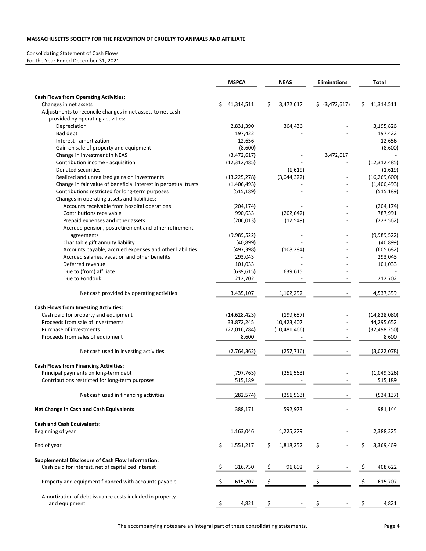#### Consolidating Statement of Cash Flows For the Year Ended December 31, 2021

|                                                                                                                 | <b>MSPCA</b>     | <b>NEAS</b>     | <b>Eliminations</b> | Total            |
|-----------------------------------------------------------------------------------------------------------------|------------------|-----------------|---------------------|------------------|
| <b>Cash Flows from Operating Activities:</b>                                                                    |                  |                 |                     |                  |
| Changes in net assets                                                                                           | \$<br>41,314,511 | \$<br>3,472,617 | \$ (3,472,617)      | \$<br>41,314,511 |
| Adjustments to reconcile changes in net assets to net cash                                                      |                  |                 |                     |                  |
| provided by operating activities:                                                                               |                  |                 |                     |                  |
| Depreciation                                                                                                    | 2,831,390        | 364,436         |                     | 3,195,826        |
| Bad debt                                                                                                        | 197,422          |                 |                     | 197,422          |
| Interest - amortization                                                                                         | 12,656           |                 |                     | 12,656           |
| Gain on sale of property and equipment                                                                          | (8,600)          |                 |                     | (8,600)          |
| Change in investment in NEAS                                                                                    | (3,472,617)      |                 | 3,472,617           |                  |
| Contribution income - acquisition                                                                               | (12, 312, 485)   |                 |                     | (12, 312, 485)   |
| Donated securities                                                                                              |                  | (1,619)         |                     | (1,619)          |
| Realized and unrealized gains on investments                                                                    | (13, 225, 278)   | (3,044,322)     |                     | (16, 269, 600)   |
| Change in fair value of beneficial interest in perpetual trusts                                                 | (1,406,493)      |                 |                     | (1,406,493)      |
| Contributions restricted for long-term purposes                                                                 | (515, 189)       |                 |                     | (515, 189)       |
| Changes in operating assets and liabilities:                                                                    |                  |                 |                     |                  |
| Accounts receivable from hospital operations                                                                    | (204, 174)       |                 |                     | (204, 174)       |
| Contributions receivable                                                                                        | 990,633          | (202, 642)      |                     | 787,991          |
| Prepaid expenses and other assets                                                                               | (206, 013)       | (17, 549)       |                     | (223, 562)       |
| Accrued pension, postretirement and other retirement                                                            |                  |                 |                     |                  |
| agreements                                                                                                      | (9,989,522)      |                 |                     | (9,989,522)      |
| Charitable gift annuity liability                                                                               | (40, 899)        |                 |                     | (40, 899)        |
| Accounts payable, accrued expenses and other liabilities                                                        | (497, 398)       | (108, 284)      |                     | (605, 682)       |
| Accrued salaries, vacation and other benefits                                                                   | 293,043          |                 |                     | 293,043          |
| Deferred revenue                                                                                                | 101,033          |                 |                     | 101,033          |
| Due to (from) affiliate                                                                                         | (639, 615)       | 639,615         |                     |                  |
| Due to Fondouk                                                                                                  | 212,702          |                 |                     | 212,702          |
| Net cash provided by operating activities                                                                       | 3,435,107        | 1,102,252       |                     | 4,537,359        |
| <b>Cash Flows from Investing Activities:</b>                                                                    |                  |                 |                     |                  |
| Cash paid for property and equipment                                                                            | (14, 628, 423)   | (199, 657)      |                     | (14,828,080)     |
| Proceeds from sale of investments                                                                               | 33,872,245       | 10,423,407      |                     | 44,295,652       |
| Purchase of investments                                                                                         | (22,016,784)     | (10, 481, 466)  |                     | (32, 498, 250)   |
| Proceeds from sales of equipment                                                                                | 8,600            |                 |                     | 8,600            |
| Net cash used in investing activities                                                                           | (2,764,362)      | (257, 716)      |                     | (3,022,078)      |
| <b>Cash Flows from Financing Activities:</b>                                                                    |                  |                 |                     |                  |
| Principal payments on long-term debt                                                                            | (797, 763)       | (251, 563)      |                     | (1,049,326)      |
| Contributions restricted for long-term purposes                                                                 | 515,189          |                 |                     | 515,189          |
| Net cash used in financing activities                                                                           | (282, 574)       | (251, 563)      |                     | (534, 137)       |
| Net Change in Cash and Cash Equivalents                                                                         | 388,171          | 592,973         |                     | 981,144          |
| <b>Cash and Cash Equivalents:</b>                                                                               |                  |                 |                     |                  |
| Beginning of year                                                                                               | 1,163,046        | 1,225,279       |                     | 2,388,325        |
| End of year                                                                                                     | 1,551,217        | \$<br>1,818,252 | \$                  | 3,369,469<br>\$  |
|                                                                                                                 |                  |                 |                     |                  |
| <b>Supplemental Disclosure of Cash Flow Information:</b><br>Cash paid for interest, net of capitalized interest | \$<br>316,730    | \$<br>91,892    | \$                  | 408,622<br>\$.   |
| Property and equipment financed with accounts payable                                                           | \$<br>615,707    | \$              | \$                  | \$<br>615,707    |
| Amortization of debt issuance costs included in property                                                        |                  |                 |                     |                  |
| and equipment                                                                                                   | 4,821<br>Ş       | \$              |                     | 4,821            |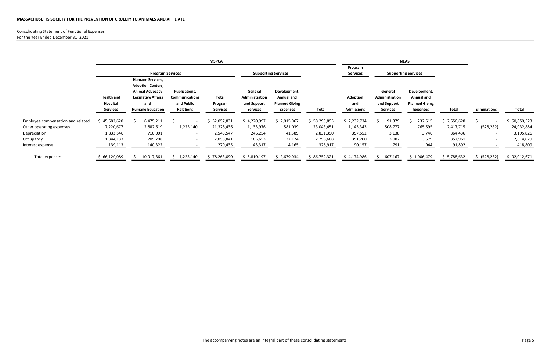# Consolidating Statement of Functional Expenses For the Year Ended December 31, 2021

|                                   |                                                  | <b>MSPCA</b>                                                                                                                                  |                                                                          |                                     |                                                             | <b>NEAS</b>                                                            |              |                                             |                                                             |                                                                        |             |                          |              |
|-----------------------------------|--------------------------------------------------|-----------------------------------------------------------------------------------------------------------------------------------------------|--------------------------------------------------------------------------|-------------------------------------|-------------------------------------------------------------|------------------------------------------------------------------------|--------------|---------------------------------------------|-------------------------------------------------------------|------------------------------------------------------------------------|-------------|--------------------------|--------------|
|                                   |                                                  | <b>Program Services</b>                                                                                                                       |                                                                          |                                     |                                                             | <b>Supporting Services</b>                                             |              | Program<br><b>Services</b>                  |                                                             | <b>Supporting Services</b>                                             |             |                          |              |
|                                   | <b>Health and</b><br>Hospital<br><b>Services</b> | <b>Humane Services,</b><br><b>Adoption Centers,</b><br><b>Animal Advocacy</b><br><b>Legislative Affairs</b><br>and<br><b>Humane Education</b> | Publications,<br><b>Communications</b><br>and Public<br><b>Relations</b> | Total<br>Program<br><b>Services</b> | General<br>Administration<br>and Support<br><b>Services</b> | Development,<br>Annual and<br><b>Planned Giving</b><br><b>Expenses</b> | <b>Total</b> | <b>Adoption</b><br>and<br><b>Admissions</b> | General<br>Administration<br>and Support<br><b>Services</b> | Development,<br>Annual and<br><b>Planned Giving</b><br><b>Expenses</b> | Total       | <b>Eliminations</b>      | Total        |
| Employee compensation and related | \$45,582,620                                     | 6,475,211                                                                                                                                     |                                                                          | 52,057,831                          | \$4,220,997                                                 | \$2,015,067                                                            | 5 58,293,895 | \$2,232,734                                 | 91,379                                                      | 232,515                                                                | \$2,556,628 | $\overline{\phantom{a}}$ | \$60,850,523 |
| Other operating expenses          | 17,220,677                                       | 2,882,619                                                                                                                                     | 1,225,140                                                                | 21,328,436                          | 1,133,976                                                   | 581,039                                                                | 23,043,451   | 1,143,343                                   | 508,777                                                     | 765,595                                                                | 2,417,715   | (528, 282)               | 24,932,884   |
| Depreciation                      | 1,833,546                                        | 710,001                                                                                                                                       | $\overline{\phantom{0}}$                                                 | 2,543,547                           | 246,254                                                     | 41,589                                                                 | 2,831,390    | 357,552                                     | 3,138                                                       | 3,746                                                                  | 364,436     | $\overline{\phantom{a}}$ | 3,195,826    |
| Occupancy                         | 1,344,133                                        | 709,708                                                                                                                                       | $\overline{\phantom{a}}$                                                 | 2,053,841                           | 165,653                                                     | 37,174                                                                 | 2,256,668    | 351,200                                     | 3,082                                                       | 3,679                                                                  | 357,961     | $\overline{\phantom{a}}$ | 2,614,629    |
| Interest expense                  | 139,113                                          | 140,322                                                                                                                                       |                                                                          | 279,435                             | 43,317                                                      | 4,165                                                                  | 326,917      | 90,157                                      | 791                                                         | 944                                                                    | 91,892      |                          | 418,809      |
| Total expenses                    | 66,120,089                                       | 10,917,861                                                                                                                                    | \$1,225,140                                                              | \$78,263,090                        | 5,810,197                                                   | \$2,679,034                                                            | \$86,752,321 | \$4,174,986                                 | 607,167                                                     | \$1,006,479                                                            | \$5,788,632 | (528,282)                | \$92,012,671 |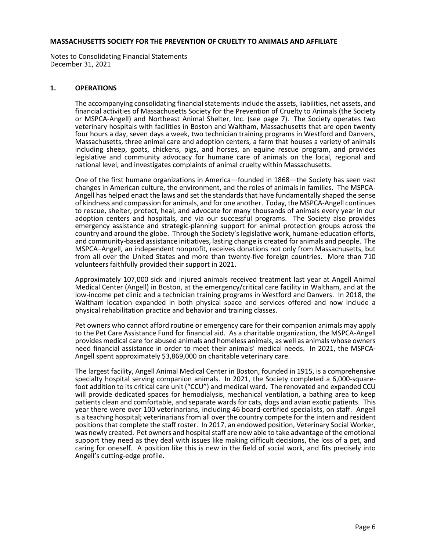Notes to Consolidating Financial Statements December 31, 2021

## **1. OPERATIONS**

The accompanying consolidating financial statements include the assets, liabilities, net assets, and financial activities of Massachusetts Society for the Prevention of Cruelty to Animals (the Society or MSPCA-Angell) and Northeast Animal Shelter, Inc. (see page 7). The Society operates two veterinary hospitals with facilities in Boston and Waltham, Massachusetts that are open twenty four hours a day, seven days a week, two technician training programs in Westford and Danvers, Massachusetts, three animal care and adoption centers, a farm that houses a variety of animals including sheep, goats, chickens, pigs, and horses, an equine rescue program, and provides legislative and community advocacy for humane care of animals on the local, regional and national level, and investigates complaints of animal cruelty within Massachusetts.

One of the first humane organizations in America—founded in 1868—the Society has seen vast changes in American culture, the environment, and the roles of animals in families. The MSPCA-Angell has helped enact the laws and set the standards that have fundamentally shaped the sense of kindness and compassion for animals, and for one another. Today,the MSPCA-Angell continues to rescue, shelter, protect, heal, and advocate for many thousands of animals every year in our adoption centers and hospitals, and via our successful programs. The Society also provides emergency assistance and strategic-planning support for animal protection groups across the country and around the globe. Through the Society's legislative work, humane-education efforts, and community-based assistance initiatives, lasting change is created for animals and people. The MSPCA–Angell, an independent nonprofit, receives donations not only from Massachusetts, but from all over the United States and more than twenty-five foreign countries. More than 710 volunteers faithfully provided their support in 2021.

Approximately 107,000 sick and injured animals received treatment last year at Angell Animal Medical Center (Angell) in Boston, at the emergency/critical care facility in Waltham, and at the low-income pet clinic and a technician training programs in Westford and Danvers. In 2018, the Waltham location expanded in both physical space and services offered and now include a physical rehabilitation practice and behavior and training classes.

Pet owners who cannot afford routine or emergency care for their companion animals may apply to the Pet Care Assistance Fund for financial aid. As a charitable organization, the MSPCA-Angell provides medical care for abused animals and homeless animals, as well as animals whose owners need financial assistance in order to meet their animals' medical needs. In 2021, the MSPCA-Angell spent approximately \$3,869,000 on charitable veterinary care.

The largest facility, Angell Animal Medical Center in Boston, founded in 1915, is a comprehensive specialty hospital serving companion animals. In 2021, the Society completed a 6,000-squarefoot addition to its critical care unit ("CCU") and medical ward. The renovated and expanded CCU will provide dedicated spaces for hemodialysis, mechanical ventilation, a bathing area to keep patients clean and comfortable, and separate wards for cats, dogs and avian exotic patients. This year there were over 100 veterinarians, including 46 board-certified specialists, on staff. Angell is a teaching hospital; veterinarians from all over the country compete for the intern and resident positions that complete the staff roster. In 2017, an endowed position, Veterinary Social Worker, was newly created. Pet owners and hospital staff are now able to take advantage of the emotional support they need as they deal with issues like making difficult decisions, the loss of a pet, and caring for oneself. A position like this is new in the field of social work, and fits precisely into Angell's cutting-edge profile.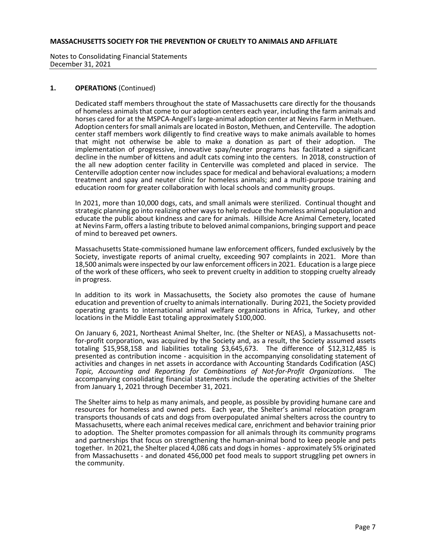Notes to Consolidating Financial Statements December 31, 2021

## **1. OPERATIONS** (Continued)

Dedicated staff members throughout the state of Massachusetts care directly for the thousands of homeless animals that come to our adoption centers each year, including the farm animals and horses cared for at the MSPCA-Angell's large-animal adoption center at Nevins Farm in Methuen. Adoption centers for small animals are located in Boston, Methuen, and Centerville. The adoption center staff members work diligently to find creative ways to make animals available to homes that might not otherwise be able to make a donation as part of their adoption. The implementation of progressive, innovative spay/neuter programs has facilitated a significant decline in the number of kittens and adult cats coming into the centers. In 2018, construction of the all new adoption center facility in Centerville was completed and placed in service. The Centerville adoption center now includes space for medical and behavioral evaluations; a modern treatment and spay and neuter clinic for homeless animals; and a multi-purpose training and education room for greater collaboration with local schools and community groups.

In 2021, more than 10,000 dogs, cats, and small animals were sterilized. Continual thought and strategic planning go into realizing other ways to help reduce the homeless animal population and educate the public about kindness and care for animals. Hillside Acre Animal Cemetery, located at Nevins Farm, offers a lasting tribute to beloved animal companions, bringing support and peace of mind to bereaved pet owners.

Massachusetts State-commissioned humane law enforcement officers, funded exclusively by the Society, investigate reports of animal cruelty, exceeding 907 complaints in 2021. More than 18,500 animals were inspected by our law enforcement officers in 2021. Education is a large piece of the work of these officers, who seek to prevent cruelty in addition to stopping cruelty already in progress.

In addition to its work in Massachusetts, the Society also promotes the cause of humane education and prevention of cruelty to animals internationally. During 2021, the Society provided operating grants to international animal welfare organizations in Africa, Turkey, and other locations in the Middle East totaling approximately \$100,000.

On January 6, 2021, Northeast Animal Shelter, Inc. (the Shelter or NEAS), a Massachusetts notfor-profit corporation, was acquired by the Society and, as a result, the Society assumed assets totaling \$15,958,158 and liabilities totaling \$3,645,673. The difference of \$12,312,485 is presented as contribution income - acquisition in the accompanying consolidating statement of activities and changes in net assets in accordance with Accounting Standards Codification (ASC)<br>Topic, Accounting and Reporting for Combinations of Not-for-Profit Organizations. The *Topic, Accounting and Reporting for Combinations of Not-for-Profit Organizations*. The accompanying consolidating financial statements include the operating activities of the Shelter from January 1, 2021 through December 31, 2021.

The Shelter aims to help as many animals, and people, as possible by providing humane care and resources for homeless and owned pets. Each year, the Shelter's animal relocation program transports thousands of cats and dogs from overpopulated animal shelters across the country to Massachusetts, where each animal receives medical care, enrichment and behavior training prior to adoption. The Shelter promotes compassion for all animals through its community programs and partnerships that focus on strengthening the human-animal bond to keep people and pets together. In 2021, the Shelter placed 4,086 cats and dogs in homes - approximately 5% originated from Massachusetts - and donated 456,000 pet food meals to support struggling pet owners in the community.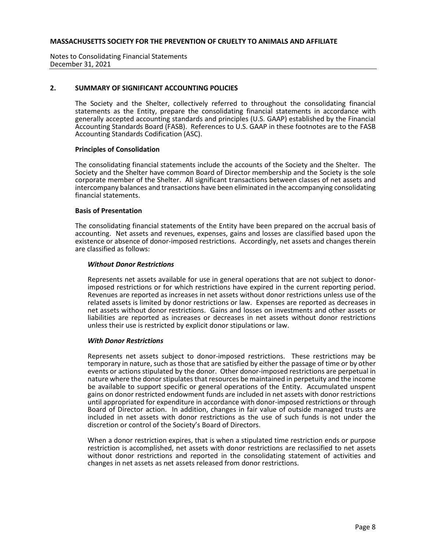Notes to Consolidating Financial Statements December 31, 2021

## **2. SUMMARY OF SIGNIFICANT ACCOUNTING POLICIES**

The Society and the Shelter, collectively referred to throughout the consolidating financial statements as the Entity, prepare the consolidating financial statements in accordance with generally accepted accounting standards and principles (U.S. GAAP) established by the Financial Accounting Standards Board (FASB). References to U.S. GAAP in these footnotes are to the FASB Accounting Standards Codification (ASC).

#### **Principles of Consolidation**

The consolidating financial statements include the accounts of the Society and the Shelter. The Society and the Shelter have common Board of Director membership and the Society is the sole corporate member of the Shelter. All significant transactions between classes of net assets and intercompany balances and transactions have been eliminated in the accompanying consolidating financial statements.

## **Basis of Presentation**

The consolidating financial statements of the Entity have been prepared on the accrual basis of accounting. Net assets and revenues, expenses, gains and losses are classified based upon the existence or absence of donor-imposed restrictions. Accordingly, net assets and changes therein are classified as follows:

## *Without Donor Restrictions*

Represents net assets available for use in general operations that are not subject to donorimposed restrictions or for which restrictions have expired in the current reporting period. Revenues are reported as increases in net assets without donor restrictions unless use of the related assets is limited by donor restrictions or law. Expenses are reported as decreases in net assets without donor restrictions. Gains and losses on investments and other assets or liabilities are reported as increases or decreases in net assets without donor restrictions unless their use is restricted by explicit donor stipulations or law.

#### *With Donor Restrictions*

Represents net assets subject to donor-imposed restrictions. These restrictions may be temporary in nature, such as those that are satisfied by either the passage of time or by other events or actions stipulated by the donor. Other donor-imposed restrictions are perpetual in nature where the donor stipulates that resources be maintained in perpetuity and the income be available to support specific or general operations of the Entity. Accumulated unspent gains on donor restricted endowment funds are included in net assets with donor restrictions until appropriated for expenditure in accordance with donor-imposed restrictions or through Board of Director action. In addition, changes in fair value of outside managed trusts are included in net assets with donor restrictions as the use of such funds is not under the discretion or control of the Society's Board of Directors.

When a donor restriction expires, that is when a stipulated time restriction ends or purpose restriction is accomplished, net assets with donor restrictions are reclassified to net assets without donor restrictions and reported in the consolidating statement of activities and changes in net assets as net assets released from donor restrictions.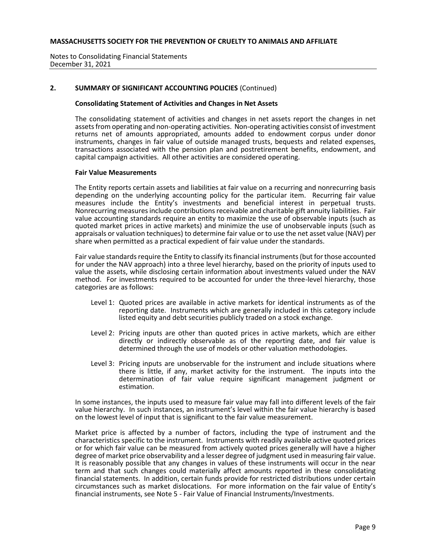Notes to Consolidating Financial Statements December 31, 2021

## **2. SUMMARY OF SIGNIFICANT ACCOUNTING POLICIES** (Continued)

## **Consolidating Statement of Activities and Changes in Net Assets**

The consolidating statement of activities and changes in net assets report the changes in net assets from operating and non-operating activities. Non-operating activities consist of investment returns net of amounts appropriated, amounts added to endowment corpus under donor instruments, changes in fair value of outside managed trusts, bequests and related expenses, transactions associated with the pension plan and postretirement benefits, endowment, and capital campaign activities. All other activities are considered operating.

#### **Fair Value Measurements**

The Entity reports certain assets and liabilities at fair value on a recurring and nonrecurring basis depending on the underlying accounting policy for the particular item. Recurring fair value measures include the Entity's investments and beneficial interest in perpetual trusts. Nonrecurring measures include contributions receivable and charitable gift annuity liabilities. Fair value accounting standards require an entity to maximize the use of observable inputs (such as quoted market prices in active markets) and minimize the use of unobservable inputs (such as appraisals or valuation techniques) to determine fair value or to use the net asset value (NAV) per share when permitted as a practical expedient of fair value under the standards.

Fair value standards require the Entity to classify its financial instruments (but for those accounted for under the NAV approach) into a three level hierarchy, based on the priority of inputs used to value the assets, while disclosing certain information about investments valued under the NAV method. For investments required to be accounted for under the three-level hierarchy, those categories are as follows:

- Level 1: Quoted prices are available in active markets for identical instruments as of the reporting date. Instruments which are generally included in this category include listed equity and debt securities publicly traded on a stock exchange.
- Level 2: Pricing inputs are other than quoted prices in active markets, which are either directly or indirectly observable as of the reporting date, and fair value is determined through the use of models or other valuation methodologies.
- Level 3: Pricing inputs are unobservable for the instrument and include situations where there is little, if any, market activity for the instrument. The inputs into the determination of fair value require significant management judgment or estimation.

In some instances, the inputs used to measure fair value may fall into different levels of the fair value hierarchy. In such instances, an instrument's level within the fair value hierarchy is based on the lowest level of input that is significant to the fair value measurement.

Market price is affected by a number of factors, including the type of instrument and the characteristics specific to the instrument. Instruments with readily available active quoted prices or for which fair value can be measured from actively quoted prices generally will have a higher degree of market price observability and a lesser degree of judgment used in measuring fair value. It is reasonably possible that any changes in values of these instruments will occur in the near term and that such changes could materially affect amounts reported in these consolidating financial statements. In addition, certain funds provide for restricted distributions under certain circumstances such as market dislocations. For more information on the fair value of Entity's financial instruments, see Note 5 - Fair Value of Financial Instruments/Investments.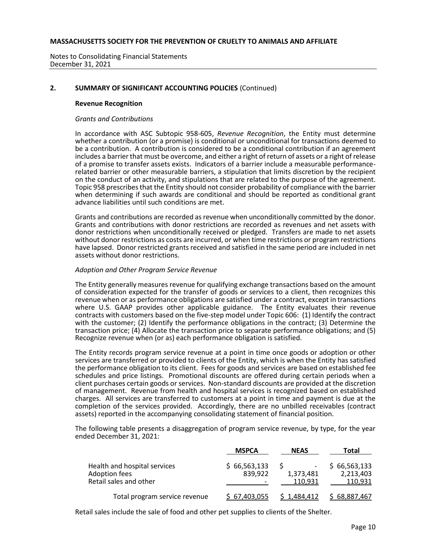Notes to Consolidating Financial Statements December 31, 2021

## **2. SUMMARY OF SIGNIFICANT ACCOUNTING POLICIES** (Continued)

#### **Revenue Recognition**

## *Grants and Contributions*

In accordance with ASC Subtopic 958-605, *Revenue Recognition*, the Entity must determine whether a contribution (or a promise) is conditional or unconditional for transactions deemed to be a contribution. A contribution is considered to be a conditional contribution if an agreement includes a barrier that must be overcome, and either a right of return of assets or a right of release of a promise to transfer assets exists. Indicators of a barrier include a measurable performancerelated barrier or other measurable barriers, a stipulation that limits discretion by the recipient on the conduct of an activity, and stipulations that are related to the purpose of the agreement. Topic 958 prescribes that the Entity should not consider probability of compliance with the barrier when determining if such awards are conditional and should be reported as conditional grant advance liabilities until such conditions are met.

Grants and contributions are recorded as revenue when unconditionally committed by the donor. Grants and contributions with donor restrictions are recorded as revenues and net assets with donor restrictions when unconditionally received or pledged. Transfers are made to net assets without donor restrictions as costs are incurred, or when time restrictions or program restrictions have lapsed. Donor restricted grants received and satisfied in the same period are included in net assets without donor restrictions.

## *Adoption and Other Program Service Revenue*

The Entity generally measures revenue for qualifying exchange transactions based on the amount of consideration expected for the transfer of goods or services to a client, then recognizes this revenue when or as performance obligations are satisfied under a contract, except in transactions where U.S. GAAP provides other applicable guidance. The Entity evaluates their revenue contracts with customers based on the five-step model under Topic 606: (1) Identify the contract with the customer; (2) Identify the performance obligations in the contract; (3) Determine the transaction price; (4) Allocate the transaction price to separate performance obligations; and (5) Recognize revenue when (or as) each performance obligation is satisfied.

The Entity records program service revenue at a point in time once goods or adoption or other services are transferred or provided to clients of the Entity, which is when the Entity has satisfied the performance obligation to its client. Fees for goods and services are based on established fee schedules and price listings. Promotional discounts are offered during certain periods when a client purchases certain goods or services. Non-standard discounts are provided at the discretion of management. Revenue from health and hospital services is recognized based on established charges. All services are transferred to customers at a point in time and payment is due at the completion of the services provided. Accordingly, there are no unbilled receivables (contract assets) reported in the accompanying consolidating statement of financial position.

The following table presents a disaggregation of program service revenue, by type, for the year ended December 31, 2021:

|                                                                         | <b>MSPCA</b>                                        | <b>NEAS</b>                    | Total                                |
|-------------------------------------------------------------------------|-----------------------------------------------------|--------------------------------|--------------------------------------|
| Health and hospital services<br>Adoption fees<br>Retail sales and other | \$66,563,133<br>839.922<br>$\overline{\phantom{0}}$ | $\sim$<br>1,373,481<br>110.931 | \$66,563,133<br>2,213,403<br>110,931 |
| Total program service revenue                                           | \$67,403,055                                        | \$1.484.412                    | 68,887,467                           |

Retail sales include the sale of food and other pet supplies to clients of the Shelter.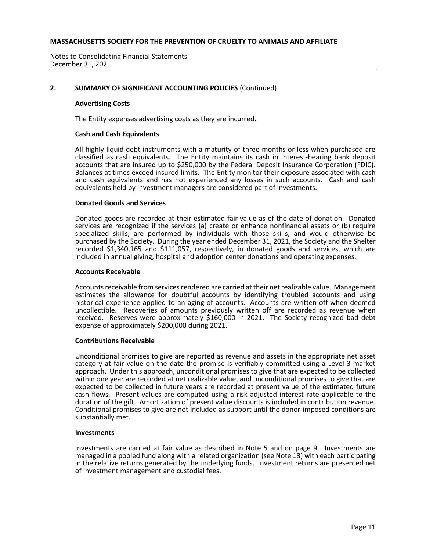Notes to Consolidating Financial Statements December 31, 2021

## **2. SUMMARY OF SIGNIFICANT ACCOUNTING POLICIES** (Continued)

#### **Advertising Costs**

The Entity expenses advertising costs as they are incurred.

#### **Cash and Cash Equivalents**

All highly liquid debt instruments with a maturity of three months or less when purchased are classified as cash equivalents. The Entity maintains its cash in interest-bearing bank deposit accounts that are insured up to \$250,000 by the Federal Deposit Insurance Corporation (FDIC). Balances at times exceed insured limits. The Entity monitor their exposure associated with cash and cash equivalents and has not experienced any losses in such accounts. Cash and cash equivalents held by investment managers are considered part of investments.

## **Donated Goods and Services**

Donated goods are recorded at their estimated fair value as of the date of donation. Donated services are recognized if the services (a) create or enhance nonfinancial assets or (b) require specialized skills, are performed by individuals with those skills, and would otherwise be purchased by the Society. During the year ended December 31, 2021, the Society and the Shelter recorded \$1,340,165 and \$111,057, respectively, in donated goods and services, which are included in annual giving, hospital and adoption center donations and operating expenses.

#### **Accounts Receivable**

Accounts receivable from services rendered are carried at their net realizable value. Management estimates the allowance for doubtful accounts by identifying troubled accounts and using historical experience applied to an aging of accounts. Accounts are written off when deemed uncollectible. Recoveries of amounts previously written off are recorded as revenue when received. Reserves were approximately \$160,000 in 2021. The Society recognized bad debt expense of approximately \$200,000 during 2021.

#### **Contributions Receivable**

Unconditional promises to give are reported as revenue and assets in the appropriate net asset category at fair value on the date the promise is verifiably committed using a Level 3 market approach. Under this approach, unconditional promises to give that are expected to be collected within one year are recorded at net realizable value, and unconditional promises to give that are expected to be collected in future years are recorded at present value of the estimated future cash flows. Present values are computed using a risk adjusted interest rate applicable to the duration of the gift. Amortization of present value discounts is included in contribution revenue. Conditional promises to give are not included as support until the donor-imposed conditions are substantially met.

#### **Investments**

Investments are carried at fair value as described in Note 5 and on page 9. Investments are managed in a pooled fund along with a related organization (see Note 13) with each participating in the relative returns generated by the underlying funds. Investment returns are presented net of investment management and custodial fees.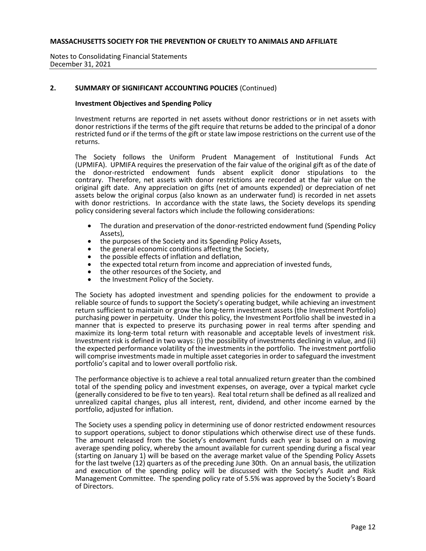Notes to Consolidating Financial Statements December 31, 2021

## **2. SUMMARY OF SIGNIFICANT ACCOUNTING POLICIES** (Continued)

#### **Investment Objectives and Spending Policy**

Investment returns are reported in net assets without donor restrictions or in net assets with donor restrictions if the terms of the gift require that returns be added to the principal of a donor restricted fund or if the terms of the gift or state law impose restrictions on the current use of the returns.

The Society follows the Uniform Prudent Management of Institutional Funds Act (UPMIFA). UPMIFA requires the preservation of the fair value of the original gift as of the date of the donor-restricted endowment funds absent explicit donor stipulations to the contrary. Therefore, net assets with donor restrictions are recorded at the fair value on the original gift date. Any appreciation on gifts (net of amounts expended) or depreciation of net assets below the original corpus (also known as an underwater fund) is recorded in net assets with donor restrictions. In accordance with the state laws, the Society develops its spending policy considering several factors which include the following considerations:

- The duration and preservation of the donor-restricted endowment fund (Spending Policy Assets),
- the purposes of the Society and its Spending Policy Assets,
- the general economic conditions affecting the Society,
- the possible effects of inflation and deflation,<br>• the expected total return from income and an
- the expected total return from income and appreciation of invested funds,
- the other resources of the Society, and
- the Investment Policy of the Society.

The Society has adopted investment and spending policies for the endowment to provide a reliable source of funds to support the Society's operating budget, while achieving an investment return sufficient to maintain or grow the long-term investment assets (the Investment Portfolio) purchasing power in perpetuity. Under this policy, the Investment Portfolio shall be invested in a manner that is expected to preserve its purchasing power in real terms after spending and maximize its long-term total return with reasonable and acceptable levels of investment risk. Investment risk is defined in two ways: (i) the possibility of investments declining in value, and (ii) the expected performance volatility of the investments in the portfolio. The investment portfolio will comprise investments made in multiple asset categories in order to safeguard the investment portfolio's capital and to lower overall portfolio risk.

The performance objective is to achieve a real total annualized return greater than the combined total of the spending policy and investment expenses, on average, over a typical market cycle (generally considered to be five to ten years). Real total return shall be defined as all realized and unrealized capital changes, plus all interest, rent, dividend, and other income earned by the portfolio, adjusted for inflation.

The Society uses a spending policy in determining use of donor restricted endowment resources to support operations, subject to donor stipulations which otherwise direct use of these funds. The amount released from the Society's endowment funds each year is based on a moving average spending policy, whereby the amount available for current spending during a fiscal year (starting on January 1) will be based on the average market value of the Spending Policy Assets for the last twelve (12) quarters as of the preceding June 30th. On an annual basis, the utilization and execution of the spending policy will be discussed with the Society's Audit and Risk Management Committee. The spending policy rate of 5.5% was approved by the Society's Board of Directors.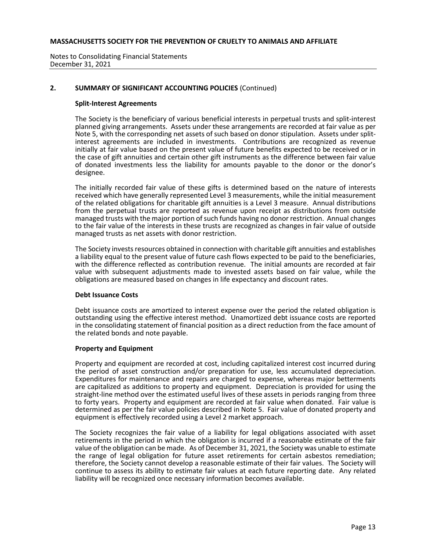Notes to Consolidating Financial Statements December 31, 2021

## **2. SUMMARY OF SIGNIFICANT ACCOUNTING POLICIES** (Continued)

## **Split-Interest Agreements**

The Society is the beneficiary of various beneficial interests in perpetual trusts and split-interest planned giving arrangements. Assets under these arrangements are recorded at fair value as per Note 5, with the corresponding net assets of such based on donor stipulation. Assets under splitinterest agreements are included in investments. Contributions are recognized as revenue initially at fair value based on the present value of future benefits expected to be received or in the case of gift annuities and certain other gift instruments as the difference between fair value of donated investments less the liability for amounts payable to the donor or the donor's designee.

The initially recorded fair value of these gifts is determined based on the nature of interests received which have generally represented Level 3 measurements, while the initial measurement of the related obligations for charitable gift annuities is a Level 3 measure. Annual distributions from the perpetual trusts are reported as revenue upon receipt as distributions from outside managed trusts with the major portion of such funds having no donor restriction. Annual changes to the fair value of the interests in these trusts are recognized as changes in fair value of outside managed trusts as net assets with donor restriction.

The Society invests resources obtained in connection with charitable gift annuities and establishes a liability equal to the present value of future cash flows expected to be paid to the beneficiaries, with the difference reflected as contribution revenue. The initial amounts are recorded at fair value with subsequent adjustments made to invested assets based on fair value, while the obligations are measured based on changes in life expectancy and discount rates.

## **Debt Issuance Costs**

Debt issuance costs are amortized to interest expense over the period the related obligation is outstanding using the effective interest method. Unamortized debt issuance costs are reported in the consolidating statement of financial position as a direct reduction from the face amount of the related bonds and note payable.

## **Property and Equipment**

Property and equipment are recorded at cost, including capitalized interest cost incurred during the period of asset construction and/or preparation for use, less accumulated depreciation. Expenditures for maintenance and repairs are charged to expense, whereas major betterments are capitalized as additions to property and equipment. Depreciation is provided for using the straight-line method over the estimated useful lives of these assets in periods ranging from three to forty years. Property and equipment are recorded at fair value when donated. Fair value is determined as per the fair value policies described in Note 5. Fair value of donated property and equipment is effectively recorded using a Level 2 market approach.

The Society recognizes the fair value of a liability for legal obligations associated with asset retirements in the period in which the obligation is incurred if a reasonable estimate of the fair value of the obligation can be made. As of December 31, 2021, the Society was unable to estimate the range of legal obligation for future asset retirements for certain asbestos remediation; therefore, the Society cannot develop a reasonable estimate of their fair values. The Society will continue to assess its ability to estimate fair values at each future reporting date. Any related liability will be recognized once necessary information becomes available.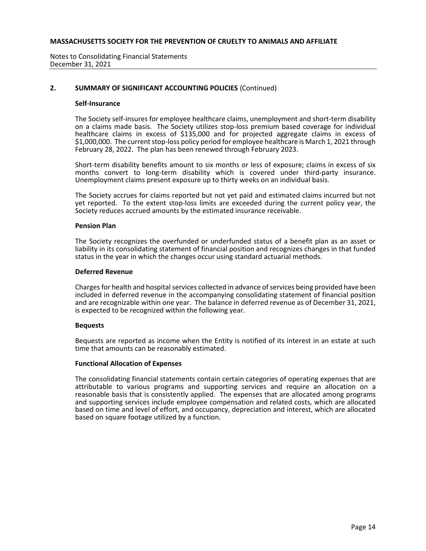Notes to Consolidating Financial Statements December 31, 2021

## **2. SUMMARY OF SIGNIFICANT ACCOUNTING POLICIES** (Continued)

#### **Self-Insurance**

The Society self-insures for employee healthcare claims, unemployment and short-term disability on a claims made basis. The Society utilizes stop-loss premium based coverage for individual healthcare claims in excess of \$135,000 and for projected aggregate claims in excess of \$1,000,000. The current stop-loss policy period for employee healthcare is March 1, 2021 through February 28, 2022. The plan has been renewed through February 2023.

Short-term disability benefits amount to six months or less of exposure; claims in excess of six months convert to long-term disability which is covered under third-party insurance. Unemployment claims present exposure up to thirty weeks on an individual basis.

The Society accrues for claims reported but not yet paid and estimated claims incurred but not yet reported. To the extent stop-loss limits are exceeded during the current policy year, the Society reduces accrued amounts by the estimated insurance receivable.

#### **Pension Plan**

The Society recognizes the overfunded or underfunded status of a benefit plan as an asset or liability in its consolidating statement of financial position and recognizes changes in that funded status in the year in which the changes occur using standard actuarial methods.

#### **Deferred Revenue**

Charges for health and hospital services collected in advance of services being provided have been included in deferred revenue in the accompanying consolidating statement of financial position and are recognizable within one year. The balance in deferred revenue as of December 31, 2021, is expected to be recognized within the following year.

#### **Bequests**

Bequests are reported as income when the Entity is notified of its interest in an estate at such time that amounts can be reasonably estimated.

#### **Functional Allocation of Expenses**

The consolidating financial statements contain certain categories of operating expenses that are attributable to various programs and supporting services and require an allocation on a reasonable basis that is consistently applied. The expenses that are allocated among programs and supporting services include employee compensation and related costs, which are allocated based on time and level of effort, and occupancy, depreciation and interest, which are allocated based on square footage utilized by a function.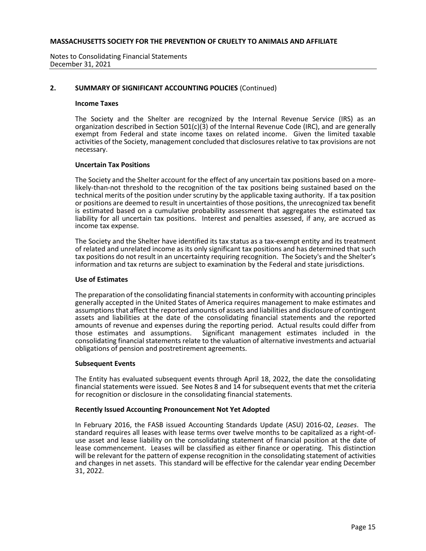Notes to Consolidating Financial Statements December 31, 2021

## **2. SUMMARY OF SIGNIFICANT ACCOUNTING POLICIES** (Continued)

#### **Income Taxes**

The Society and the Shelter are recognized by the Internal Revenue Service (IRS) as an organization described in Section 501(c)(3) of the Internal Revenue Code (IRC), and are generally exempt from Federal and state income taxes on related income. Given the limited taxable activities of the Society, management concluded that disclosures relative to tax provisions are not necessary.

## **Uncertain Tax Positions**

The Society and the Shelter account for the effect of any uncertain tax positions based on a morelikely-than-not threshold to the recognition of the tax positions being sustained based on the technical merits of the position under scrutiny by the applicable taxing authority. If a tax position or positions are deemed to result in uncertainties of those positions, the unrecognized tax benefit is estimated based on a cumulative probability assessment that aggregates the estimated tax liability for all uncertain tax positions. Interest and penalties assessed, if any, are accrued as income tax expense.

The Society and the Shelter have identified its tax status as a tax-exempt entity and its treatment of related and unrelated income as its only significant tax positions and has determined that such tax positions do not result in an uncertainty requiring recognition. The Society's and the Shelter's information and tax returns are subject to examination by the Federal and state jurisdictions.

#### **Use of Estimates**

The preparation of the consolidating financial statements in conformity with accounting principles generally accepted in the United States of America requires management to make estimates and assumptions that affect the reported amounts of assets and liabilities and disclosure of contingent assets and liabilities at the date of the consolidating financial statements and the reported amounts of revenue and expenses during the reporting period. Actual results could differ from those estimates and assumptions. Significant management estimates included in the Significant management estimates included in the consolidating financial statements relate to the valuation of alternative investments and actuarial obligations of pension and postretirement agreements.

## **Subsequent Events**

The Entity has evaluated subsequent events through April 18, 2022, the date the consolidating financial statements were issued. See Notes 8 and 14 for subsequent events that met the criteria for recognition or disclosure in the consolidating financial statements.

## **Recently Issued Accounting Pronouncement Not Yet Adopted**

In February 2016, the FASB issued Accounting Standards Update (ASU) 2016-02, *Leases*. The standard requires all leases with lease terms over twelve months to be capitalized as a right-ofuse asset and lease liability on the consolidating statement of financial position at the date of lease commencement. Leases will be classified as either finance or operating. This distinction will be relevant for the pattern of expense recognition in the consolidating statement of activities and changes in net assets. This standard will be effective for the calendar year ending December 31, 2022.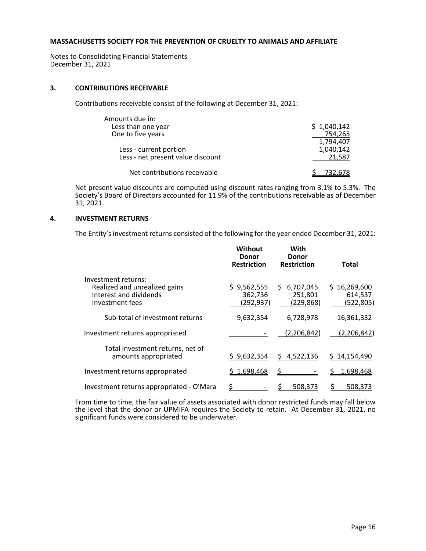Notes to Consolidating Financial Statements December 31, 2021

## **3. CONTRIBUTIONS RECEIVABLE**

Contributions receivable consist of the following at December 31, 2021:

| Amounts due in:                   |             |
|-----------------------------------|-------------|
| Less than one year                | \$1,040,142 |
| One to five years                 | 754,265     |
|                                   | 1,794,407   |
| Less - current portion            | 1,040,142   |
| Less - net present value discount | 21,587      |
| Net contributions receivable      | 732.678     |

Net present value discounts are computed using discount rates ranging from 3.1% to 5.3%. The Society's Board of Directors accounted for 11.9% of the contributions receivable as of December 31, 2021.

## **4. INVESTMENT RETURNS**

The Entity's investment returns consisted of the following for the year ended December 31, 2021:

|                                                                                                   | Without<br>Donor<br><b>Restriction</b> | With<br>Donor<br><b>Restriction</b>      | Total                                |
|---------------------------------------------------------------------------------------------------|----------------------------------------|------------------------------------------|--------------------------------------|
| Investment returns:<br>Realized and unrealized gains<br>Interest and dividends<br>Investment fees | \$9,562,555<br>362,736<br>(292,937)    | 6,707,045<br>S.<br>251,801<br>(229, 868) | \$16,269,600<br>614,537<br>(522,805) |
| Sub-total of investment returns                                                                   | 9,632,354                              | 6,728,978                                | 16,361,332                           |
| Investment returns appropriated                                                                   |                                        | (2, 206, 842)                            | (2,206,842)                          |
| Total investment returns, net of<br>amounts appropriated                                          | $5$ 9,632,354                          | $5$ 4.522.136                            | 14.154.490<br>ς.                     |
| Investment returns appropriated                                                                   | <u>\$1,698,468</u>                     | S.                                       | 1,698,468                            |
| Investment returns appropriated - O'Mara                                                          |                                        | 508.373                                  | 508.373                              |

From time to time, the fair value of assets associated with donor restricted funds may fall below the level that the donor or UPMIFA requires the Society to retain. At December 31, 2021, no significant funds were considered to be underwater.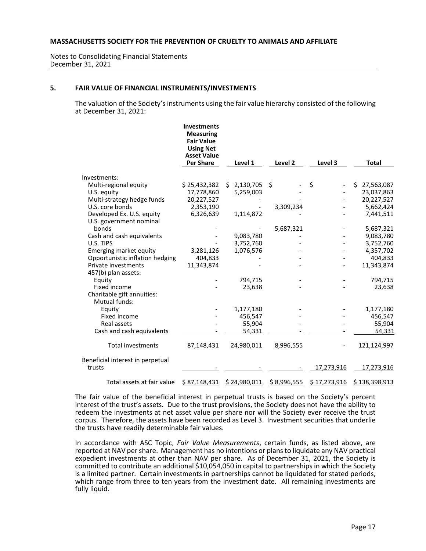Notes to Consolidating Financial Statements December 31, 2021

#### **5. FAIR VALUE OF FINANCIAL INSTRUMENTS/INVESTMENTS**

The valuation of the Society's instruments using the fair value hierarchy consisted of the following at December 31, 2021:

|                                  | <b>Investments</b><br><b>Measuring</b><br><b>Fair Value</b><br><b>Using Net</b><br><b>Asset Value</b><br>Per Share | Level 1      | Level 2     | Level 3             | <b>Total</b>     |
|----------------------------------|--------------------------------------------------------------------------------------------------------------------|--------------|-------------|---------------------|------------------|
| Investments:                     |                                                                                                                    |              |             |                     |                  |
| Multi-regional equity            | \$25,432,382                                                                                                       | \$2,130,705  | -\$         | \$                  | 27,563,087<br>\$ |
| U.S. equity                      | 17,778,860                                                                                                         | 5,259,003    |             |                     | 23,037,863       |
| Multi-strategy hedge funds       | 20,227,527                                                                                                         |              |             |                     | 20,227,527       |
| U.S. core bonds                  | 2,353,190                                                                                                          |              | 3,309,234   |                     | 5,662,424        |
| Developed Ex. U.S. equity        | 6,326,639                                                                                                          | 1,114,872    |             |                     | 7,441,511        |
| U.S. government nominal          |                                                                                                                    |              |             |                     |                  |
| bonds                            |                                                                                                                    |              | 5,687,321   |                     | 5,687,321        |
| Cash and cash equivalents        |                                                                                                                    | 9,083,780    |             |                     | 9,083,780        |
| U.S. TIPS                        |                                                                                                                    | 3,752,760    |             |                     | 3,752,760        |
| <b>Emerging market equity</b>    | 3,281,126                                                                                                          | 1,076,576    |             |                     | 4,357,702        |
| Opportunistic inflation hedging  | 404,833                                                                                                            |              |             |                     | 404,833          |
| Private investments              | 11,343,874                                                                                                         |              |             |                     | 11,343,874       |
| 457(b) plan assets:              |                                                                                                                    |              |             |                     |                  |
| Equity                           |                                                                                                                    | 794,715      |             |                     | 794,715          |
| Fixed income                     |                                                                                                                    | 23,638       |             |                     | 23,638           |
| Charitable gift annuities:       |                                                                                                                    |              |             |                     |                  |
| Mutual funds:                    |                                                                                                                    |              |             |                     |                  |
| Equity                           |                                                                                                                    | 1,177,180    |             |                     | 1,177,180        |
| Fixed income                     |                                                                                                                    | 456,547      |             |                     | 456,547          |
| Real assets                      |                                                                                                                    | 55,904       |             |                     | 55,904           |
| Cash and cash equivalents        |                                                                                                                    | 54,331       |             |                     | 54,331           |
| <b>Total investments</b>         | 87,148,431                                                                                                         | 24,980,011   | 8,996,555   |                     | 121,124,997      |
| Beneficial interest in perpetual |                                                                                                                    |              |             |                     |                  |
| trusts                           |                                                                                                                    |              |             | 17,273,916          | 17,273,916       |
| Total assets at fair value       | \$87,148,431                                                                                                       | \$24,980,011 | \$8,996,555 | <u>\$17,273,916</u> | \$138,398,913    |

The fair value of the beneficial interest in perpetual trusts is based on the Society's percent interest of the trust's assets. Due to the trust provisions, the Society does not have the ability to redeem the investments at net asset value per share nor will the Society ever receive the trust corpus. Therefore, the assets have been recorded as Level 3. Investment securities that underlie the trusts have readily determinable fair values.

In accordance with ASC Topic, *Fair Value Measurements*, certain funds, as listed above, are reported at NAV per share. Management has no intentions or plans to liquidate any NAV practical expedient investments at other than NAV per share. As of December 31, 2021, the Society is committed to contribute an additional \$10,054,050 in capital to partnerships in which the Society is a limited partner. Certain investments in partnerships cannot be liquidated for stated periods, which range from three to ten years from the investment date. All remaining investments are fully liquid.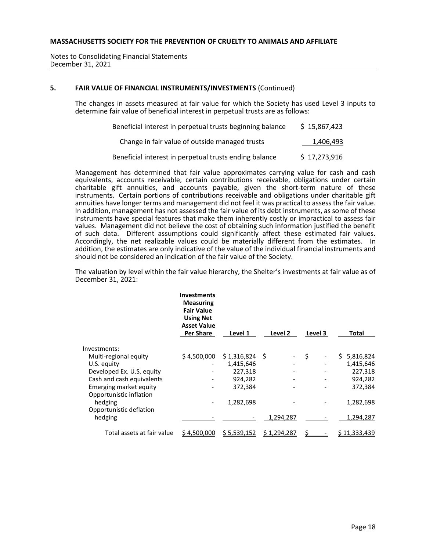Notes to Consolidating Financial Statements December 31, 2021

## **5. FAIR VALUE OF FINANCIAL INSTRUMENTS/INVESTMENTS** (Continued)

The changes in assets measured at fair value for which the Society has used Level 3 inputs to determine fair value of beneficial interest in perpetual trusts are as follows:

| Beneficial interest in perpetual trusts beginning balance | \$15,867,423 |
|-----------------------------------------------------------|--------------|
| Change in fair value of outside managed trusts            | 1,406,493    |
| Beneficial interest in perpetual trusts ending balance    | \$17,273,916 |

Management has determined that fair value approximates carrying value for cash and cash equivalents, accounts receivable, certain contributions receivable, obligations under certain charitable gift annuities, and accounts payable, given the short-term nature of these instruments. Certain portions of contributions receivable and obligations under charitable gift annuities have longer terms and management did not feel it was practical to assess the fair value. In addition, management has not assessed the fair value of its debt instruments, as some of these instruments have special features that make them inherently costly or impractical to assess fair values. Management did not believe the cost of obtaining such information justified the benefit of such data. Different assumptions could significantly affect these estimated fair values. Accordingly, the net realizable values could be materially different from the estimates. In addition, the estimates are only indicative of the value of the individual financial instruments and should not be considered an indication of the fair value of the Society.

The valuation by level within the fair value hierarchy, the Shelter's investments at fair value as of December 31, 2021:

|                                                   | <b>Investments</b><br><b>Measuring</b><br><b>Fair Value</b><br><b>Using Net</b><br><b>Asset Value</b><br><b>Per Share</b> | Level 1         | Level 2     | Level 3 | Total           |
|---------------------------------------------------|---------------------------------------------------------------------------------------------------------------------------|-----------------|-------------|---------|-----------------|
| Investments:                                      |                                                                                                                           |                 |             |         |                 |
| Multi-regional equity                             | \$4,500,000                                                                                                               | $$1,316,824$ \$ |             | Ś.      | Ś.<br>5,816,824 |
| U.S. equity                                       |                                                                                                                           | 1,415,646       |             |         | 1,415,646       |
| Developed Ex. U.S. equity                         |                                                                                                                           | 227,318         |             |         | 227,318         |
| Cash and cash equivalents                         |                                                                                                                           | 924,282         |             |         | 924,282         |
| Emerging market equity<br>Opportunistic inflation |                                                                                                                           | 372,384         |             |         | 372,384         |
| hedging<br>Opportunistic deflation                |                                                                                                                           | 1,282,698       |             |         | 1,282,698       |
| hedging                                           |                                                                                                                           |                 | 1,294,287   |         | 1,294,287       |
| Total assets at fair value                        | \$4,500,000                                                                                                               | \$5,539,152     | \$1,294,287 |         | \$ 11,333,439   |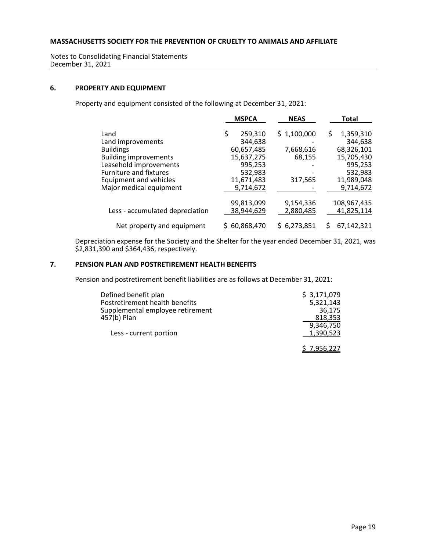Notes to Consolidating Financial Statements December 31, 2021

# **6. PROPERTY AND EQUIPMENT**

Property and equipment consisted of the following at December 31, 2021:

|                                 | <b>MSPCA</b>  | <b>NEAS</b> |           |   | <b>Total</b> |
|---------------------------------|---------------|-------------|-----------|---|--------------|
| Land                            | \$<br>259,310 | \$1,100,000 |           | Ś | 1,359,310    |
| Land improvements               | 344,638       |             |           |   | 344,638      |
| <b>Buildings</b>                | 60,657,485    |             | 7,668,616 |   | 68,326,101   |
| <b>Building improvements</b>    | 15,637,275    |             | 68,155    |   | 15,705,430   |
| Leasehold improvements          | 995,253       |             |           |   | 995,253      |
| Furniture and fixtures          | 532,983       |             |           |   | 532,983      |
| Equipment and vehicles          | 11,671,483    |             | 317,565   |   | 11,989,048   |
| Major medical equipment         | 9,714,672     |             |           |   | 9,714,672    |
|                                 | 99,813,099    |             | 9,154,336 |   | 108,967,435  |
| Less - accumulated depreciation | 38,944,629    |             | 2,880,485 |   | 41,825,114   |
| Net property and equipment      | 60,868,470    |             | 6,273,851 |   | 67,142,321   |

Depreciation expense for the Society and the Shelter for the year ended December 31, 2021, was \$2,831,390 and \$364,436, respectively.

# **7. PENSION PLAN AND POSTRETIREMENT HEALTH BENEFITS**

Pension and postretirement benefit liabilities are as follows at December 31, 2021:

| Defined benefit plan             | \$3,171,079 |
|----------------------------------|-------------|
| Postretirement health benefits   | 5,321,143   |
| Supplemental employee retirement | 36.175      |
| 457(b) Plan                      | 818.353     |
|                                  | 9,346,750   |
| Less - current portion           | 1,390,523   |
|                                  | \$7,956,227 |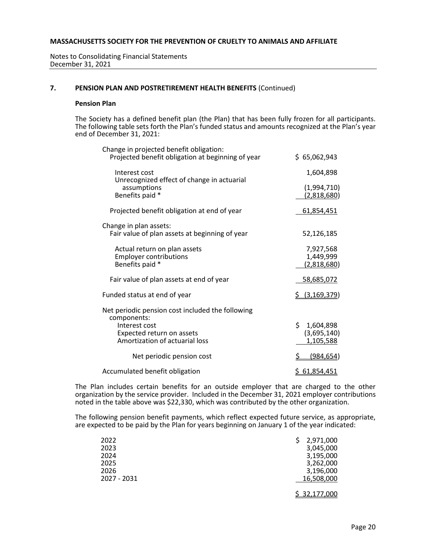Notes to Consolidating Financial Statements December 31, 2021

# **7. PENSION PLAN AND POSTRETIREMENT HEALTH BENEFITS** (Continued)

#### **Pension Plan**

The Society has a defined benefit plan (the Plan) that has been fully frozen for all participants. The following table sets forth the Plan's funded status and amounts recognized at the Plan's year end of December 31, 2021:

| Change in projected benefit obligation:                         |                            |
|-----------------------------------------------------------------|----------------------------|
| Projected benefit obligation at beginning of year               | \$65,062,943               |
| Interest cost<br>Unrecognized effect of change in actuarial     | 1,604,898                  |
| assumptions<br>Benefits paid *                                  | (1,994,710)<br>(2,818,680) |
| Projected benefit obligation at end of year                     | 61,854,451                 |
| Change in plan assets:                                          |                            |
| Fair value of plan assets at beginning of year                  | 52,126,185                 |
| Actual return on plan assets                                    | 7,927,568                  |
| <b>Employer contributions</b><br>Benefits paid *                | 1,449,999<br>(2,818,680)   |
|                                                                 |                            |
| Fair value of plan assets at end of year                        | 58,685,072                 |
| Funded status at end of year                                    | \$ (3,169,379)             |
| Net periodic pension cost included the following<br>components: |                            |
| Interest cost                                                   | Ś.<br>1,604,898            |
| Expected return on assets                                       | (3,695,140)                |
| Amortization of actuarial loss                                  | 1,105,588                  |
| Net periodic pension cost                                       | (984, 654)                 |
| Accumulated benefit obligation                                  | <u>\$ 61,854,451</u>       |

The Plan includes certain benefits for an outside employer that are charged to the other organization by the service provider. Included in the December 31, 2021 employer contributions noted in the table above was \$22,330, which was contributed by the other organization.

The following pension benefit payments, which reflect expected future service, as appropriate, are expected to be paid by the Plan for years beginning on January 1 of the year indicated:

| 2022        | 2,971,000    |
|-------------|--------------|
| 2023        | 3,045,000    |
| 2024        | 3,195,000    |
| 2025        | 3,262,000    |
| 2026        | 3,196,000    |
| 2027 - 2031 | 16,508,000   |
|             | \$32,177,000 |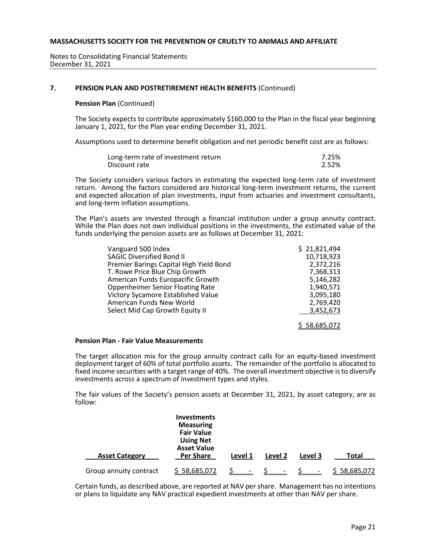Notes to Consolidating Financial Statements December 31, 2021

## **7. PENSION PLAN AND POSTRETIREMENT HEALTH BENEFITS** (Continued)

#### **Pension Plan** (Continued)

The Society expects to contribute approximately \$160,000 to the Plan in the fiscal year beginning January 1, 2021, for the Plan year ending December 31, 2021.

Assumptions used to determine benefit obligation and net periodic benefit cost are as follows:

| Long-term rate of investment return | 7.25% |
|-------------------------------------|-------|
| Discount rate                       | 2.52% |

The Society considers various factors in estimating the expected long-term rate of investment return. Among the factors considered are historical long-term investment returns, the current and expected allocation of plan investments, input from actuaries and investment consultants, and long-term inflation assumptions.

The Plan's assets are invested through a financial institution under a group annuity contract. While the Plan does not own individual positions in the investments, the estimated value of the funds underlying the pension assets are as follows at December 31, 2021:

| Vanguard 500 Index                      | \$21,821,494 |
|-----------------------------------------|--------------|
| <b>SAGIC Diversified Bond II</b>        | 10,718,923   |
| Premier Barings Capital High Yield Bond | 2,372,216    |
| T. Rowe Price Blue Chip Growth          | 7,368,313    |
| American Funds Europacific Growth       | 5,146,282    |
| <b>Oppenheimer Senior Floating Rate</b> | 1,940,571    |
| Victory Sycamore Established Value      | 3,095,180    |
| American Funds New World                | 2,769,420    |
| Select Mid Cap Growth Equity II         | 3,452,673    |
|                                         |              |
|                                         | \$58,685,072 |

## **Pension Plan - Fair Value Measurements**

The target allocation mix for the group annuity contract calls for an equity-based investment deployment target of 60% of total portfolio assets. The remainder of the portfolio is allocated to fixed income securities with a target range of 40%. The overall investment objective is to diversify investments across a spectrum of investment types and styles.

The fair values of the Society's pension assets at December 31, 2021, by asset category, are as follow:

| <b>Asset Category</b>  | <b>Investments</b><br><b>Measuring</b><br><b>Fair Value</b><br><b>Using Net</b><br><b>Asset Value</b><br><b>Per Share</b> | Level 1                  | Level 2                  | Level 3 | Total      |
|------------------------|---------------------------------------------------------------------------------------------------------------------------|--------------------------|--------------------------|---------|------------|
| Group annuity contract | 58,685,072                                                                                                                | $\overline{\phantom{0}}$ | $\overline{\phantom{a}}$ |         | 58,685,072 |

Certain funds, as described above, are reported at NAV per share. Management has no intentions or plans to liquidate any NAV practical expedient investments at other than NAV per share.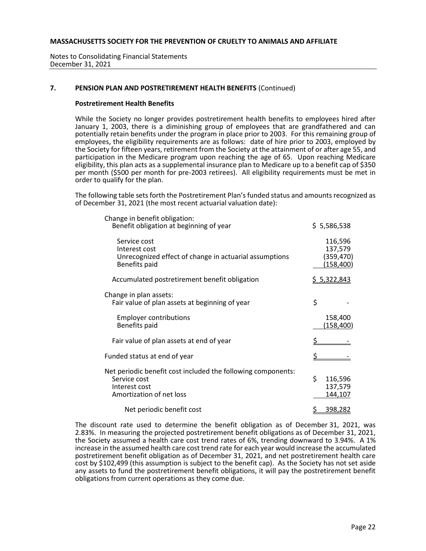Notes to Consolidating Financial Statements December 31, 2021

# **7. PENSION PLAN AND POSTRETIREMENT HEALTH BENEFITS** (Continued)

#### **Postretirement Health Benefits**

While the Society no longer provides postretirement health benefits to employees hired after January 1, 2003, there is a diminishing group of employees that are grandfathered and can potentially retain benefits under the program in place prior to 2003. For this remaining group of employees, the eligibility requirements are as follows: date of hire prior to 2003, employed by the Society for fifteen years, retirement from the Society at the attainment of or after age 55, and participation in the Medicare program upon reaching the age of 65. Upon reaching Medicare eligibility, this plan acts as a supplemental insurance plan to Medicare up to a benefit cap of \$350 per month (\$500 per month for pre-2003 retirees). All eligibility requirements must be met in order to qualify for the plan.

The following table sets forth the Postretirement Plan's funded status and amounts recognized as of December 31, 2021 (the most recent actuarial valuation date):

| Change in benefit obligation:<br>Benefit obligation at beginning of year                                                  | \$5,586,538                                    |
|---------------------------------------------------------------------------------------------------------------------------|------------------------------------------------|
| Service cost<br>Interest cost<br>Unrecognized effect of change in actuarial assumptions<br>Benefits paid                  | 116,596<br>137,579<br>(359, 470)<br>(158, 400) |
| Accumulated postretirement benefit obligation                                                                             | \$5,322,843                                    |
| Change in plan assets:<br>Fair value of plan assets at beginning of year                                                  | \$                                             |
| <b>Employer contributions</b><br>Benefits paid                                                                            | 158,400<br>(158,400)                           |
| Fair value of plan assets at end of year                                                                                  |                                                |
| Funded status at end of year                                                                                              |                                                |
| Net periodic benefit cost included the following components:<br>Service cost<br>Interest cost<br>Amortization of net loss | \$<br>116,596<br>137,579<br>144,107            |
| Net periodic benefit cost                                                                                                 | 398,282                                        |

The discount rate used to determine the benefit obligation as of December 31, 2021, was 2.83%. In measuring the projected postretirement benefit obligations as of December 31, 2021, the Society assumed a health care cost trend rates of 6%, trending downward to 3.94%. A 1% increase in the assumed health care cost trend rate for each year would increase the accumulated postretirement benefit obligation as of December 31, 2021, and net postretirement health care cost by \$102,499 (this assumption is subject to the benefit cap). As the Society has not set aside any assets to fund the postretirement benefit obligations, it will pay the postretirement benefit obligations from current operations as they come due.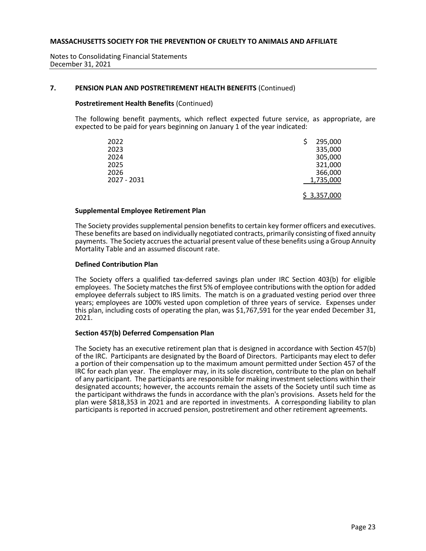Notes to Consolidating Financial Statements December 31, 2021

## **7. PENSION PLAN AND POSTRETIREMENT HEALTH BENEFITS** (Continued)

#### **Postretirement Health Benefits** (Continued)

The following benefit payments, which reflect expected future service, as appropriate, are expected to be paid for years beginning on January 1 of the year indicated:

| 2022        | 295,000     |
|-------------|-------------|
| 2023        | 335,000     |
| 2024        | 305,000     |
| 2025        | 321,000     |
| 2026        | 366,000     |
| 2027 - 2031 | 1,735,000   |
|             | \$3,357,000 |

#### **Supplemental Employee Retirement Plan**

The Society provides supplemental pension benefits to certain key former officers and executives. These benefits are based on individually negotiated contracts, primarily consisting of fixed annuity payments. The Society accrues the actuarial present value of these benefits using a Group Annuity Mortality Table and an assumed discount rate.

## **Defined Contribution Plan**

The Society offers a qualified tax-deferred savings plan under IRC Section 403(b) for eligible employees. The Society matches the first 5% of employee contributions with the option for added employee deferrals subject to IRS limits. The match is on a graduated vesting period over three years; employees are 100% vested upon completion of three years of service. Expenses under this plan, including costs of operating the plan, was \$1,767,591 for the year ended December 31, 2021.

#### **Section 457(b) Deferred Compensation Plan**

The Society has an executive retirement plan that is designed in accordance with Section 457(b) of the IRC. Participants are designated by the Board of Directors. Participants may elect to defer a portion of their compensation up to the maximum amount permitted under Section 457 of the IRC for each plan year. The employer may, in its sole discretion, contribute to the plan on behalf of any participant. The participants are responsible for making investment selections within their designated accounts; however, the accounts remain the assets of the Society until such time as the participant withdraws the funds in accordance with the plan's provisions. Assets held for the plan were \$818,353 in 2021 and are reported in investments. A corresponding liability to plan participants is reported in accrued pension, postretirement and other retirement agreements.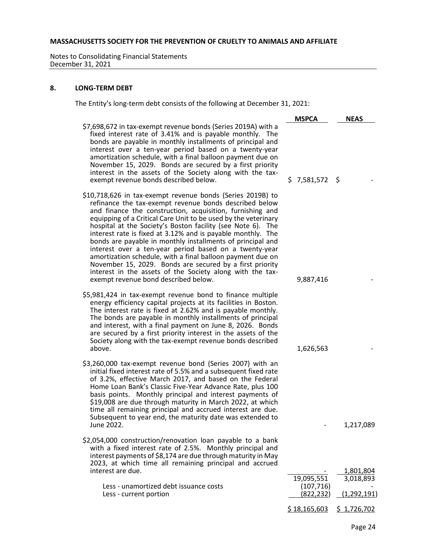Notes to Consolidating Financial Statements December 31, 2021

# **8. LONG-TERM DEBT**

The Entity's long-term debt consists of the following at December 31, 2021:

|                                                                                                                                                                                                                                                                                                                                                                                                                                                                                                                                                                                                                                                                                                                                          | <b>MSPCA</b>                                                         | <b>NEAS</b>                             |
|------------------------------------------------------------------------------------------------------------------------------------------------------------------------------------------------------------------------------------------------------------------------------------------------------------------------------------------------------------------------------------------------------------------------------------------------------------------------------------------------------------------------------------------------------------------------------------------------------------------------------------------------------------------------------------------------------------------------------------------|----------------------------------------------------------------------|-----------------------------------------|
| \$7,698,672 in tax-exempt revenue bonds (Series 2019A) with a<br>fixed interest rate of 3.41% and is payable monthly. The<br>bonds are payable in monthly installments of principal and<br>interest over a ten-year period based on a twenty-year<br>amortization schedule, with a final balloon payment due on<br>November 15, 2029. Bonds are secured by a first priority<br>interest in the assets of the Society along with the tax-<br>exempt revenue bonds described below.                                                                                                                                                                                                                                                        | $$7,581,572$ \$                                                      |                                         |
| \$10,718,626 in tax-exempt revenue bonds (Series 2019B) to<br>refinance the tax-exempt revenue bonds described below<br>and finance the construction, acquisition, furnishing and<br>equipping of a Critical Care Unit to be used by the veterinary<br>hospital at the Society's Boston facility (see Note 6). The<br>interest rate is fixed at 3.12% and is payable monthly. The<br>bonds are payable in monthly installments of principal and<br>interest over a ten-year period based on a twenty-year<br>amortization schedule, with a final balloon payment due on<br>November 15, 2029. Bonds are secured by a first priority<br>interest in the assets of the Society along with the tax-<br>exempt revenue bond described below. | 9,887,416                                                            |                                         |
| \$5,981,424 in tax-exempt revenue bond to finance multiple<br>energy efficiency capital projects at its facilities in Boston.<br>The interest rate is fixed at 2.62% and is payable monthly.<br>The bonds are payable in monthly installments of principal<br>and interest, with a final payment on June 8, 2026. Bonds<br>are secured by a first priority interest in the assets of the<br>Society along with the tax-exempt revenue bonds described<br>above.                                                                                                                                                                                                                                                                          | 1,626,563                                                            |                                         |
| \$3,260,000 tax-exempt revenue bond (Series 2007) with an<br>initial fixed interest rate of 5.5% and a subsequent fixed rate<br>of 3.2%, effective March 2017, and based on the Federal<br>Home Loan Bank's Classic Five-Year Advance Rate, plus 100<br>basis points. Monthly principal and interest payments of<br>\$19,008 are due through maturity in March 2022, at which<br>time all remaining principal and accrued interest are due.<br>Subsequent to year end, the maturity date was extended to<br>June 2022.                                                                                                                                                                                                                   |                                                                      | 1,217,089                               |
| \$2,054,000 construction/renovation loan payable to a bank<br>with a fixed interest rate of 2.5%. Monthly principal and<br>interest payments of \$8,174 are due through maturity in May<br>2023, at which time all remaining principal and accrued<br>interest are due.<br>Less - unamortized debt issuance costs<br>Less - current portion                                                                                                                                                                                                                                                                                                                                                                                              | 19,095,551<br>(107, 716)<br>(822, 232)<br>$$18,165,603 \t$1,726,702$ | 1,801,804<br>3,018,893<br>(1, 292, 191) |
|                                                                                                                                                                                                                                                                                                                                                                                                                                                                                                                                                                                                                                                                                                                                          |                                                                      |                                         |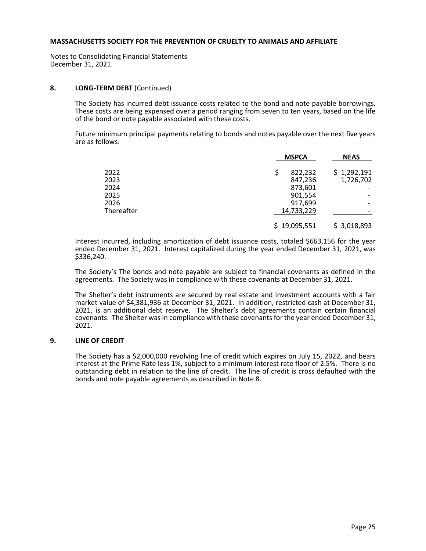Notes to Consolidating Financial Statements December 31, 2021

## **8. LONG-TERM DEBT** (Continued)

The Society has incurred debt issuance costs related to the bond and note payable borrowings. These costs are being expensed over a period ranging from seven to ten years, based on the life of the bond or note payable associated with these costs.

Future minimum principal payments relating to bonds and notes payable over the next five years are as follows:

|            | <b>MSPCA</b> | <b>NEAS</b>        |
|------------|--------------|--------------------|
| 2022       | 822,232<br>Ś | \$1,292,191        |
| 2023       | 847,236      | 1,726,702          |
| 2024       | 873,601      |                    |
| 2025       | 901,554      |                    |
| 2026       | 917,699      |                    |
| Thereafter | 14,733,229   |                    |
|            | 19,095,551   | <u>\$3,018,893</u> |

Interest incurred, including amortization of debt issuance costs, totaled \$663,156 for the year ended December 31, 2021. Interest capitalized during the year ended December 31, 2021, was \$336,240.

The Society's The bonds and note payable are subject to financial covenants as defined in the agreements. The Society was in compliance with these covenants at December 31, 2021.

The Shelter's debt instruments are secured by real estate and investment accounts with a fair market value of \$4,381,936 at December 31, 2021. In addition, restricted cash at December 31, 2021, is an additional debt reserve. The Shelter's debt agreements contain certain financial covenants. The Shelter was in compliance with these covenants for the year ended December 31, 2021.

## **9. LINE OF CREDIT**

The Society has a \$2,000,000 revolving line of credit which expires on July 15, 2022, and bears interest at the Prime Rate less 1%, subject to a minimum interest rate floor of 2.5%. There is no outstanding debt in relation to the line of credit. The line of credit is cross defaulted with the bonds and note payable agreements as described in Note 8.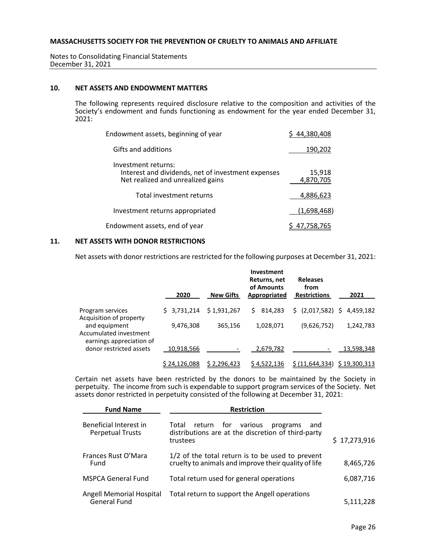Notes to Consolidating Financial Statements December 31, 2021

## **10. NET ASSETS AND ENDOWMENT MATTERS**

The following represents required disclosure relative to the composition and activities of the Society's endowment and funds functioning as endowment for the year ended December 31, 2021:

| Endowment assets, beginning of year                                                                            | 44,380,408          |
|----------------------------------------------------------------------------------------------------------------|---------------------|
| Gifts and additions                                                                                            | 190,202             |
| Investment returns:<br>Interest and dividends, net of investment expenses<br>Net realized and unrealized gains | 15,918<br>4,870,705 |
| Total investment returns                                                                                       | 4,886,623           |
| Investment returns appropriated                                                                                | (1,698,468)         |
| Endowment assets, end of year                                                                                  |                     |

## **11. NET ASSETS WITH DONOR RESTRICTIONS**

Net assets with donor restrictions are restricted for the following purposes at December 31, 2021:

|                                                                     | 2020          | <b>New Gifts</b> | Investment<br>Returns, net<br>of Amounts<br>Appropriated | <b>Releases</b><br>from<br><b>Restrictions</b>    | 2021         |
|---------------------------------------------------------------------|---------------|------------------|----------------------------------------------------------|---------------------------------------------------|--------------|
| Program services<br>Acquisition of property                         | \$3,731,214   | \$1,931,267      | 814.283<br>S.                                            | $\frac{1}{2}$ (2,017,582) $\frac{1}{2}$ 4,459,182 |              |
| and equipment<br>Accumulated investment<br>earnings appreciation of | 9,476,308     | 365,156          | 1,028,071                                                | (9,626,752)                                       | 1,242,783    |
| donor restricted assets                                             | 10,918,566    |                  | 2,679,782                                                |                                                   | 13,598,348   |
|                                                                     | \$ 24,126,088 | \$2,296,423      | \$4,522,136                                              | \$ (11, 644, 334)                                 | \$19,300,313 |

Certain net assets have been restricted by the donors to be maintained by the Society in perpetuity. The income from such is expendable to support program services of the Society. Net assets donor restricted in perpetuity consisted of the following at December 31, 2021:

| <b>Fund Name</b>                                  | <b>Restriction</b>                                                                                               |                  |
|---------------------------------------------------|------------------------------------------------------------------------------------------------------------------|------------------|
| Beneficial Interest in<br><b>Perpetual Trusts</b> | return for various<br>Total<br>programs<br>and<br>distributions are at the discretion of third-party<br>trustees | 17,273,916<br>S. |
| Frances Rust O'Mara<br>Fund                       | 1/2 of the total return is to be used to prevent<br>cruelty to animals and improve their quality of life         | 8,465,726        |
| <b>MSPCA General Fund</b>                         | Total return used for general operations                                                                         | 6,087,716        |
| <b>Angell Memorial Hospital</b><br>General Fund   | Total return to support the Angell operations                                                                    | 5,111,228        |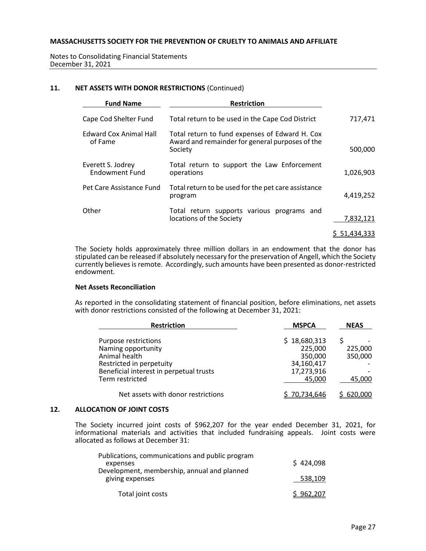Notes to Consolidating Financial Statements December 31, 2021

## **11. NET ASSETS WITH DONOR RESTRICTIONS** (Continued)

| <b>Fund Name</b>                           | <b>Restriction</b>                                                                                           |            |
|--------------------------------------------|--------------------------------------------------------------------------------------------------------------|------------|
| Cape Cod Shelter Fund                      | Total return to be used in the Cape Cod District                                                             | 717,471    |
| <b>Edward Cox Animal Hall</b><br>of Fame   | Total return to fund expenses of Edward H. Cox<br>Award and remainder for general purposes of the<br>Society | 500,000    |
| Everett S. Jodrey<br><b>Endowment Fund</b> | Total return to support the Law Enforcement<br>operations                                                    | 1,026,903  |
| Pet Care Assistance Fund                   | Total return to be used for the pet care assistance<br>program                                               | 4,419,252  |
| Other                                      | Total return supports various programs and<br>locations of the Society                                       | 7,832,121  |
|                                            |                                                                                                              | 51,434,333 |

The Society holds approximately three million dollars in an endowment that the donor has stipulated can be released if absolutely necessary for the preservation of Angell, which the Society currently believes is remote. Accordingly, such amounts have been presented as donor-restricted endowment.

#### **Net Assets Reconciliation**

As reported in the consolidating statement of financial position, before eliminations, net assets with donor restrictions consisted of the following at December 31, 2021:

| <b>Restriction</b>                      | <b>MSPCA</b> | <b>NEAS</b> |
|-----------------------------------------|--------------|-------------|
| Purpose restrictions                    | \$18,680,313 |             |
| Naming opportunity                      | 225,000      | 225,000     |
| Animal health                           | 350,000      | 350,000     |
| Restricted in perpetuity                | 34,160,417   |             |
| Beneficial interest in perpetual trusts | 17,273,916   |             |
| Term restricted                         | 45,000       | 45,000      |
| Net assets with donor restrictions      | 70.734.646   | 620,000     |

#### **12. ALLOCATION OF JOINT COSTS**

The Society incurred joint costs of \$962,207 for the year ended December 31, 2021, for informational materials and activities that included fundraising appeals. Joint costs were allocated as follows at December 31:

| Publications, communications and public program<br>expenses    | \$424,098 |
|----------------------------------------------------------------|-----------|
| Development, membership, annual and planned<br>giving expenses | 538,109   |
| Total joint costs                                              | \$962,207 |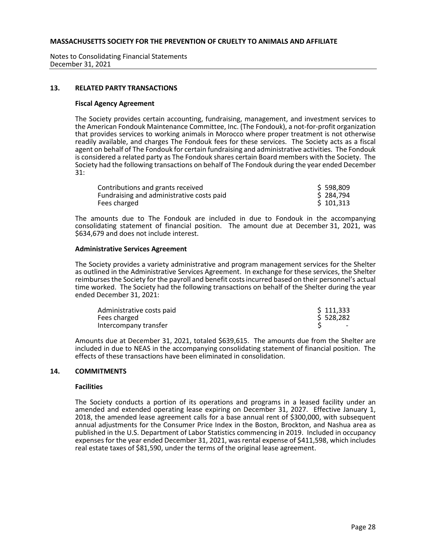Notes to Consolidating Financial Statements December 31, 2021

## **13. RELATED PARTY TRANSACTIONS**

#### **Fiscal Agency Agreement**

The Society provides certain accounting, fundraising, management, and investment services to the American Fondouk Maintenance Committee, Inc. (The Fondouk), a not-for-profit organization that provides services to working animals in Morocco where proper treatment is not otherwise readily available, and charges The Fondouk fees for these services. The Society acts as a fiscal agent on behalf of The Fondouk for certain fundraising and administrative activities. The Fondouk is considered a related party as The Fondouk shares certain Board members with the Society. The Society had the following transactions on behalf of The Fondouk during the year ended December 31:

| Contributions and grants received         | \$598,809 |
|-------------------------------------------|-----------|
| Fundraising and administrative costs paid | S 284.794 |
| Fees charged                              | \$101,313 |

The amounts due to The Fondouk are included in due to Fondouk in the accompanying consolidating statement of financial position. The amount due at December 31, 2021, was \$634,679 and does not include interest.

#### **Administrative Services Agreement**

The Society provides a variety administrative and program management services for the Shelter as outlined in the Administrative Services Agreement. In exchange for these services, the Shelter reimburses the Society for the payroll and benefit costs incurred based on their personnel's actual time worked. The Society had the following transactions on behalf of the Shelter during the year ended December 31, 2021:

| Administrative costs paid | \$111,333 |
|---------------------------|-----------|
| Fees charged              | \$528,282 |
| Intercompany transfer     |           |

Amounts due at December 31, 2021, totaled \$639,615. The amounts due from the Shelter are included in due to NEAS in the accompanying consolidating statement of financial position. The effects of these transactions have been eliminated in consolidation.

## **14. COMMITMENTS**

#### **Facilities**

The Society conducts a portion of its operations and programs in a leased facility under an amended and extended operating lease expiring on December 31, 2027. Effective January 1, 2018, the amended lease agreement calls for a base annual rent of \$300,000, with subsequent annual adjustments for the Consumer Price Index in the Boston, Brockton, and Nashua area as published in the U.S. Department of Labor Statistics commencing in 2019. Included in occupancy expenses for the year ended December 31, 2021, was rental expense of \$411,598, which includes real estate taxes of \$81,590, under the terms of the original lease agreement.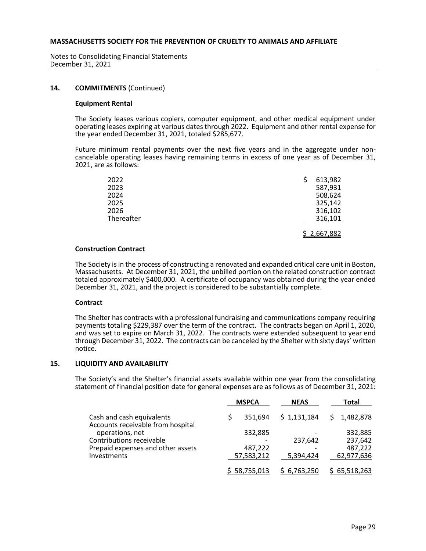Notes to Consolidating Financial Statements December 31, 2021

## **14. COMMITMENTS** (Continued)

#### **Equipment Rental**

The Society leases various copiers, computer equipment, and other medical equipment under operating leases expiring at various dates through 2022. Equipment and other rental expense for the year ended December 31, 2021, totaled \$285,677.

Future minimum rental payments over the next five years and in the aggregate under noncancelable operating leases having remaining terms in excess of one year as of December 31, 2021, are as follows:

| 2022       | 613,982     |
|------------|-------------|
| 2023       | 587,931     |
| 2024       | 508,624     |
| 2025       | 325,142     |
| 2026       | 316,102     |
| Thereafter | 316,101     |
|            | \$2,667,882 |

#### **Construction Contract**

The Society is in the process of constructing a renovated and expanded critical care unit in Boston, Massachusetts. At December 31, 2021, the unbilled portion on the related construction contract totaled approximately \$400,000. A certificate of occupancy was obtained during the year ended December 31, 2021, and the project is considered to be substantially complete.

#### **Contract**

The Shelter has contracts with a professional fundraising and communications company requiring payments totaling \$229,387 over the term of the contract. The contracts began on April 1, 2020, and was set to expire on March 31, 2022. The contracts were extended subsequent to year end through December 31, 2022. The contracts can be canceled by the Shelter with sixty days' written notice.

#### **15. LIQUIDITY AND AVAILABILITY**

The Society's and the Shelter's financial assets available within one year from the consolidating statement of financial position date for general expenses are as follows as of December 31, 2021:

|                                                                                                        | <b>MSPCA</b>                     | <b>NEAS</b>          | <b>Total</b>                                |
|--------------------------------------------------------------------------------------------------------|----------------------------------|----------------------|---------------------------------------------|
| Cash and cash equivalents<br>Accounts receivable from hospital                                         | 351,694                          | \$1,131,184          | 1,482,878                                   |
| operations, net<br>Contributions receivable<br>Prepaid expenses and other assets<br><b>Investments</b> | 332,885<br>487,222<br>57,583,212 | 237,642<br>5.394.424 | 332,885<br>237,642<br>487,222<br>62,977,636 |
|                                                                                                        | <u>\$58,755,013</u>              | 6,763,250            | 65,518,263                                  |